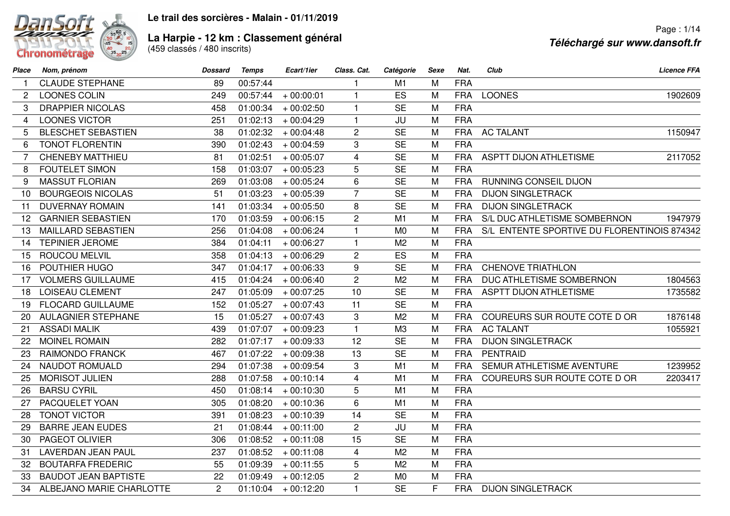

**La Harpie - 12 km : Classement général<br>(459 classés / 480 inscrits)** 

| Place          | Nom, prénom                 | <b>Dossard</b> | <b>Temps</b> | Ecart/1ier            | Class. Cat.    | Catégorie      | Sexe                    | Nat.       | Club                                        | <b>Licence FFA</b> |
|----------------|-----------------------------|----------------|--------------|-----------------------|----------------|----------------|-------------------------|------------|---------------------------------------------|--------------------|
| $\mathbf{1}$   | <b>CLAUDE STEPHANE</b>      | 89             | 00:57:44     |                       | $\mathbf{1}$   | M1             | M                       | <b>FRA</b> |                                             |                    |
| 2              | <b>LOONES COLIN</b>         | 249            | 00:57:44     | $+00:00:01$           | $\mathbf{1}$   | ES             | M                       | <b>FRA</b> | <b>LOONES</b>                               | 1902609            |
| 3              | <b>DRAPPIER NICOLAS</b>     | 458            | 01:00:34     | $+00:02:50$           | $\mathbf{1}$   | <b>SE</b>      | M                       | <b>FRA</b> |                                             |                    |
| $\overline{4}$ | <b>LOONES VICTOR</b>        | 251            | 01:02:13     | $+00:04:29$           | $\mathbf{1}$   | JU             | M                       | <b>FRA</b> |                                             |                    |
| 5              | <b>BLESCHET SEBASTIEN</b>   | 38             | 01:02:32     | $+00:04:48$           | $\mathbf{2}$   | <b>SE</b>      | M                       | <b>FRA</b> | <b>AC TALANT</b>                            | 1150947            |
| 6              | <b>TONOT FLORENTIN</b>      | 390            | 01:02:43     | $+00:04:59$           | 3              | <b>SE</b>      | M                       | <b>FRA</b> |                                             |                    |
| 7              | <b>CHENEBY MATTHIEU</b>     | 81             | 01:02:51     | $+00:05:07$           | $\overline{4}$ | <b>SE</b>      | M                       | <b>FRA</b> | <b>ASPTT DIJON ATHLETISME</b>               | 2117052            |
| 8              | <b>FOUTELET SIMON</b>       | 158            | 01:03:07     | $+00:05:23$           | 5              | <b>SE</b>      | M                       | <b>FRA</b> |                                             |                    |
| 9              | <b>MASSUT FLORIAN</b>       | 269            | 01:03:08     | $+00:05:24$           | $6\phantom{1}$ | <b>SE</b>      | M                       | <b>FRA</b> | <b>RUNNING CONSEIL DIJON</b>                |                    |
| 10             | <b>BOURGEOIS NICOLAS</b>    | 51             | 01:03:23     | $+00:05:39$           | $\overline{7}$ | <b>SE</b>      | M                       | <b>FRA</b> | <b>DIJON SINGLETRACK</b>                    |                    |
| 11             | <b>DUVERNAY ROMAIN</b>      | 141            | 01:03:34     | $+00:05:50$           | 8              | <b>SE</b>      | M                       | <b>FRA</b> | <b>DIJON SINGLETRACK</b>                    |                    |
|                | 12 GARNIER SEBASTIEN        | 170            | 01:03:59     | $+00:06:15$           | $\overline{2}$ | M1             | M                       | <b>FRA</b> | S/L DUC ATHLETISME SOMBERNON                | 1947979            |
| 13             | <b>MAILLARD SEBASTIEN</b>   | 256            | 01:04:08     | $+00:06:24$           | $\mathbf{1}$   | M <sub>0</sub> | M                       | <b>FRA</b> | S/L ENTENTE SPORTIVE DU FLORENTINOIS 874342 |                    |
| 14             | <b>TEPINIER JEROME</b>      | 384            | 01:04:11     | $+00:06:27$           | $\mathbf{1}$   | M <sub>2</sub> | M                       | <b>FRA</b> |                                             |                    |
| 15             | <b>ROUCOU MELVIL</b>        | 358            | 01:04:13     | $+00:06:29$           | $\mathbf{2}$   | ES             | M                       | <b>FRA</b> |                                             |                    |
| 16             | POUTHIER HUGO               | 347            | 01:04:17     | $+00:06:33$           | 9              | <b>SE</b>      | M                       | <b>FRA</b> | <b>CHENOVE TRIATHLON</b>                    |                    |
| 17             | <b>VOLMERS GUILLAUME</b>    | 415            | 01:04:24     | $+00:06:40$           | $\overline{2}$ | M <sub>2</sub> | M                       | <b>FRA</b> | DUC ATHLETISME SOMBERNON                    | 1804563            |
|                | 18 LOISEAU CLEMENT          | 247            | 01:05:09     | $+00:07:25$           | 10             | <b>SE</b>      | M                       | <b>FRA</b> | ASPTT DIJON ATHLETISME                      | 1735582            |
|                | 19 FLOCARD GUILLAUME        | 152            | 01:05:27     | $+00:07:43$           | 11             | <b>SE</b>      | M                       | <b>FRA</b> |                                             |                    |
| 20             | <b>AULAGNIER STEPHANE</b>   | 15             | 01:05:27     | $+00:07:43$           | 3              | M <sub>2</sub> | M                       | <b>FRA</b> | COUREURS SUR ROUTE COTE D OR                | 1876148            |
| 21             | <b>ASSADI MALIK</b>         | 439            |              | $01:07:07 + 00:09:23$ | $\mathbf{1}$   | M3             | M                       | <b>FRA</b> | <b>AC TALANT</b>                            | 1055921            |
| 22             | <b>MOINEL ROMAIN</b>        | 282            | 01:07:17     | $+00:09:33$           | 12             | <b>SE</b>      | M                       | <b>FRA</b> | <b>DIJON SINGLETRACK</b>                    |                    |
| 23             | <b>RAIMONDO FRANCK</b>      | 467            | 01:07:22     | $+00:09:38$           | 13             | <b>SE</b>      | M                       | <b>FRA</b> | <b>PENTRAID</b>                             |                    |
| 24             | <b>NAUDOT ROMUALD</b>       | 294            | 01:07:38     | $+00:09:54$           | 3              | M1             | M                       | <b>FRA</b> | SEMUR ATHLETISME AVENTURE                   | 1239952            |
| 25             | <b>MORISOT JULIEN</b>       | 288            | 01:07:58     | $+00:10:14$           | $\overline{4}$ | M1             | M                       | <b>FRA</b> | COUREURS SUR ROUTE COTE D OR                | 2203417            |
| 26             | <b>BARSU CYRIL</b>          | 450            | 01:08:14     | $+00:10:30$           | 5              | M1             | M                       | <b>FRA</b> |                                             |                    |
| 27             | PACQUELET YOAN              | 305            | 01:08:20     | $+00:10:36$           | $6\phantom{1}$ | M1             | M                       | <b>FRA</b> |                                             |                    |
| 28             | <b>TONOT VICTOR</b>         | 391            | 01:08:23     | $+00:10:39$           | 14             | <b>SE</b>      | M                       | <b>FRA</b> |                                             |                    |
| 29             | <b>BARRE JEAN EUDES</b>     | 21             | 01:08:44     | $+00:11:00$           | $\overline{c}$ | JU             | M                       | <b>FRA</b> |                                             |                    |
| 30             | <b>PAGEOT OLIVIER</b>       | 306            | 01:08:52     | $+00:11:08$           | 15             | <b>SE</b>      | M                       | <b>FRA</b> |                                             |                    |
| 31             | <b>LAVERDAN JEAN PAUL</b>   | 237            | 01:08:52     | $+00:11:08$           | $\overline{4}$ | M <sub>2</sub> | M                       | <b>FRA</b> |                                             |                    |
|                | 32 BOUTARFA FREDERIC        | 55             | 01:09:39     | $+00:11:55$           | 5              | M <sub>2</sub> | M                       | <b>FRA</b> |                                             |                    |
| 33             | <b>BAUDOT JEAN BAPTISTE</b> | 22             | 01:09:49     | $+00:12:05$           | $\overline{2}$ | M <sub>0</sub> | M                       | <b>FRA</b> |                                             |                    |
|                | 34 ALBEJANO MARIE CHARLOTTE | $\overline{c}$ |              | $01:10:04 + 00:12:20$ | $\mathbf{1}$   | <b>SE</b>      | $\overline{\mathsf{F}}$ | <b>FRA</b> | <b>DIJON SINGLETRACK</b>                    |                    |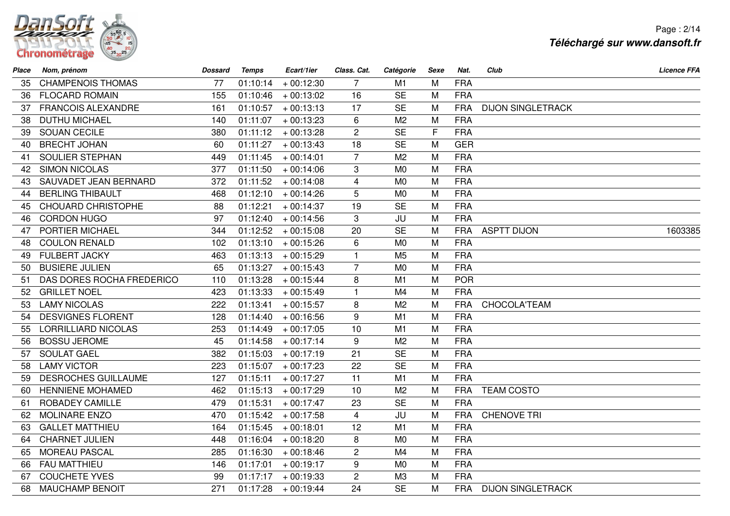

Page : 2/14**Téléchargé sur www.dansoft.fr**

| Place           | Nom, prénom                | <b>Dossard</b> | <b>Temps</b> | Ecart/1ier  | Class. Cat.    | Catégorie      | Sexe         | Nat.       | Club                     | <b>Licence FFA</b> |
|-----------------|----------------------------|----------------|--------------|-------------|----------------|----------------|--------------|------------|--------------------------|--------------------|
| 35              | <b>CHAMPENOIS THOMAS</b>   | 77             | 01:10:14     | $+00:12:30$ | $\overline{7}$ | M <sub>1</sub> | M            | <b>FRA</b> |                          |                    |
|                 | 36 FLOCARD ROMAIN          | 155            | 01:10:46     | $+00:13:02$ | 16             | <b>SE</b>      | M            | <b>FRA</b> |                          |                    |
| 37              | <b>FRANCOIS ALEXANDRE</b>  | 161            | 01:10:57     | $+00:13:13$ | 17             | <b>SE</b>      | M            | <b>FRA</b> | <b>DIJON SINGLETRACK</b> |                    |
| 38              | <b>DUTHU MICHAEL</b>       | 140            | 01:11:07     | $+00:13:23$ | 6              | M <sub>2</sub> | M            | <b>FRA</b> |                          |                    |
| 39              | <b>SOUAN CECILE</b>        | 380            | 01:11:12     | $+00:13:28$ | 2              | <b>SE</b>      | $\mathsf{F}$ | <b>FRA</b> |                          |                    |
| 40              | <b>BRECHT JOHAN</b>        | 60             | 01:11:27     | $+00:13:43$ | 18             | <b>SE</b>      | M            | <b>GER</b> |                          |                    |
| 41              | SOULIER STEPHAN            | 449            | 01:11:45     | $+00:14:01$ | $\overline{7}$ | M <sub>2</sub> | M            | <b>FRA</b> |                          |                    |
| 42              | <b>SIMON NICOLAS</b>       | 377            | 01:11:50     | $+00:14:06$ | 3              | M <sub>0</sub> | M            | <b>FRA</b> |                          |                    |
| 43              | SAUVADET JEAN BERNARD      | 372            | 01:11:52     | $+00:14:08$ | $\overline{4}$ | M <sub>0</sub> | M            | <b>FRA</b> |                          |                    |
| 44              | <b>BERLING THIBAULT</b>    | 468            | 01:12:10     | $+00:14:26$ | 5              | M <sub>0</sub> | M            | <b>FRA</b> |                          |                    |
| 45              | <b>CHOUARD CHRISTOPHE</b>  | 88             | 01:12:21     | $+00:14:37$ | 19             | <b>SE</b>      | M            | <b>FRA</b> |                          |                    |
| 46              | <b>CORDON HUGO</b>         | 97             | 01:12:40     | $+00:14:56$ | 3              | JU             | M            | <b>FRA</b> |                          |                    |
| 47              | PORTIER MICHAEL            | 344            | 01:12:52     | $+00:15:08$ | 20             | <b>SE</b>      | M            | <b>FRA</b> | <b>ASPTT DIJON</b>       | 1603385            |
| 48.             | <b>COULON RENALD</b>       | 102            | 01:13:10     | $+00:15:26$ | $6\phantom{1}$ | M <sub>0</sub> | M            | <b>FRA</b> |                          |                    |
| 49              | <b>FULBERT JACKY</b>       | 463            | 01:13:13     | $+00:15:29$ | $\mathbf{1}$   | M <sub>5</sub> | M            | <b>FRA</b> |                          |                    |
| 50              | <b>BUSIERE JULIEN</b>      | 65             | 01:13:27     | $+00:15:43$ | $\overline{7}$ | M <sub>0</sub> | M            | <b>FRA</b> |                          |                    |
| 51              | DAS DORES ROCHA FREDERICO  | 110            | 01:13:28     | $+00:15:44$ | 8              | M1             | M            | <b>POR</b> |                          |                    |
| 52 <sub>2</sub> | <b>GRILLET NOEL</b>        | 423            | 01:13:33     | $+00:15:49$ | $\mathbf{1}$   | M4             | M            | <b>FRA</b> |                          |                    |
| 53              | <b>LAMY NICOLAS</b>        | 222            | 01:13:41     | $+00:15:57$ | 8              | M <sub>2</sub> | M            | <b>FRA</b> | CHOCOLA'TEAM             |                    |
| 54              | <b>DESVIGNES FLORENT</b>   | 128            | 01:14:40     | $+00:16:56$ | 9              | M1             | M            | <b>FRA</b> |                          |                    |
| 55              | <b>LORRILLIARD NICOLAS</b> | 253            | 01:14:49     | $+00:17:05$ | 10             | M <sub>1</sub> | M            | <b>FRA</b> |                          |                    |
| 56              | <b>BOSSU JEROME</b>        | 45             | 01:14:58     | $+00:17:14$ | 9              | M <sub>2</sub> | M            | <b>FRA</b> |                          |                    |
| 57              | <b>SOULAT GAEL</b>         | 382            | 01:15:03     | $+00:17:19$ | 21             | <b>SE</b>      | M            | <b>FRA</b> |                          |                    |
| 58              | <b>LAMY VICTOR</b>         | 223            | 01:15:07     | $+00:17:23$ | 22             | <b>SE</b>      | M            | <b>FRA</b> |                          |                    |
| 59              | <b>DESROCHES GUILLAUME</b> | 127            | 01:15:11     | $+00:17:27$ | 11             | M1             | M            | <b>FRA</b> |                          |                    |
| 60              | <b>HENNIENE MOHAMED</b>    | 462            | 01:15:13     | $+00:17:29$ | 10             | M <sub>2</sub> | M            | <b>FRA</b> | <b>TEAM COSTO</b>        |                    |
| 61              | ROBADEY CAMILLE            | 479            | 01:15:31     | $+00:17:47$ | 23             | <b>SE</b>      | M            | <b>FRA</b> |                          |                    |
| 62              | <b>MOLINARE ENZO</b>       | 470            | 01:15:42     | $+00:17:58$ | $\overline{4}$ | JU             | M            | <b>FRA</b> | <b>CHENOVE TRI</b>       |                    |
| 63              | <b>GALLET MATTHIEU</b>     | 164            | 01:15:45     | $+00:18:01$ | 12             | M1             | M            | <b>FRA</b> |                          |                    |
| 64              | <b>CHARNET JULIEN</b>      | 448            | 01:16:04     | $+00:18:20$ | 8              | M <sub>0</sub> | M            | <b>FRA</b> |                          |                    |
| 65              | <b>MOREAU PASCAL</b>       | 285            | 01:16:30     | $+00:18:46$ | $\overline{2}$ | M <sub>4</sub> | M            | <b>FRA</b> |                          |                    |
| 66              | <b>FAU MATTHIEU</b>        | 146            | 01:17:01     | $+00:19:17$ | 9              | M <sub>0</sub> | M            | <b>FRA</b> |                          |                    |
| 67              | <b>COUCHETE YVES</b>       | 99             | 01:17:17     | $+00:19:33$ | $\overline{c}$ | M3             | M            | <b>FRA</b> |                          |                    |
| 68              | <b>MAUCHAMP BENOIT</b>     | 271            | 01:17:28     | $+00:19:44$ | 24             | <b>SE</b>      | M            | <b>FRA</b> | <b>DIJON SINGLETRACK</b> |                    |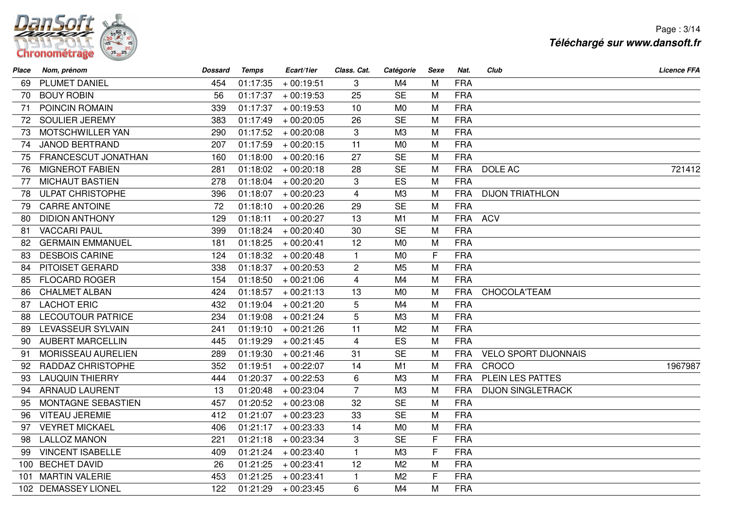

Page : 3/14**Téléchargé sur www.dansoft.fr**

| Place | Nom, prénom              | <b>Dossard</b> | <b>Temps</b> | Ecart/1ier            | Class. Cat.    | Catégorie      | Sexe         | Nat.       | Club                        | <b>Licence FFA</b> |
|-------|--------------------------|----------------|--------------|-----------------------|----------------|----------------|--------------|------------|-----------------------------|--------------------|
| 69    | PLUMET DANIEL            | 454            | 01:17:35     | $+00:19:51$           | 3              | M4             | M            | <b>FRA</b> |                             |                    |
| 70    | <b>BOUY ROBIN</b>        | 56             | 01:17:37     | $+00:19:53$           | 25             | <b>SE</b>      | M            | <b>FRA</b> |                             |                    |
| 71    | POINCIN ROMAIN           | 339            | 01:17:37     | $+00:19:53$           | 10             | M <sub>0</sub> | M            | <b>FRA</b> |                             |                    |
| 72    | SOULIER JEREMY           | 383            | 01:17:49     | $+00:20:05$           | 26             | <b>SE</b>      | M            | <b>FRA</b> |                             |                    |
| 73    | MOTSCHWILLER YAN         | 290            | 01:17:52     | $+00:20:08$           | 3              | M <sub>3</sub> | M            | <b>FRA</b> |                             |                    |
| 74    | <b>JANOD BERTRAND</b>    | 207            | 01:17:59     | $+00:20:15$           | 11             | M <sub>0</sub> | M            | <b>FRA</b> |                             |                    |
| 75    | FRANCESCUT JONATHAN      | 160            | 01:18:00     | $+00:20:16$           | 27             | <b>SE</b>      | M            | <b>FRA</b> |                             |                    |
| 76.   | <b>MIGNEROT FABIEN</b>   | 281            | 01:18:02     | $+00:20:18$           | 28             | <b>SE</b>      | M            | <b>FRA</b> | DOLE AC                     | 721412             |
| 77    | <b>MICHAUT BASTIEN</b>   | 278            | 01:18:04     | $+00:20:20$           | 3              | ES             | M            | <b>FRA</b> |                             |                    |
| 78    | <b>ULPAT CHRISTOPHE</b>  | 396            | 01:18:07     | $+00:20:23$           | $\overline{4}$ | M3             | M            | <b>FRA</b> | <b>DIJON TRIATHLON</b>      |                    |
| 79.   | <b>CARRE ANTOINE</b>     | 72             | 01:18:10     | $+00:20:26$           | 29             | <b>SE</b>      | M            | <b>FRA</b> |                             |                    |
| 80    | <b>DIDION ANTHONY</b>    | 129            | 01:18:11     | $+00:20:27$           | 13             | M1             | M            | <b>FRA</b> | <b>ACV</b>                  |                    |
| 81    | <b>VACCARI PAUL</b>      | 399            | 01:18:24     | $+00:20:40$           | 30             | <b>SE</b>      | M            | <b>FRA</b> |                             |                    |
| 82    | <b>GERMAIN EMMANUEL</b>  | 181            | 01:18:25     | $+00:20:41$           | 12             | M <sub>0</sub> | M            | <b>FRA</b> |                             |                    |
| 83    | <b>DESBOIS CARINE</b>    | 124            | 01:18:32     | $+00:20:48$           | $\mathbf{1}$   | M <sub>0</sub> | $\mathsf{F}$ | <b>FRA</b> |                             |                    |
| 84    | <b>PITOISET GERARD</b>   | 338            | 01:18:37     | $+00:20:53$           | $\overline{c}$ | M <sub>5</sub> | M            | <b>FRA</b> |                             |                    |
| 85    | <b>FLOCARD ROGER</b>     | 154            | 01:18:50     | $+00:21:06$           | $\overline{4}$ | M4             | M            | <b>FRA</b> |                             |                    |
| 86    | <b>CHALMET ALBAN</b>     | 424            | 01:18:57     | $+00:21:13$           | 13             | M <sub>0</sub> | M            | <b>FRA</b> | CHOCOLA'TEAM                |                    |
| 87    | <b>LACHOT ERIC</b>       | 432            | 01:19:04     | $+00:21:20$           | 5              | M4             | M            | <b>FRA</b> |                             |                    |
| 88    | <b>LECOUTOUR PATRICE</b> | 234            | 01:19:08     | $+00:21:24$           | 5              | M <sub>3</sub> | M            | <b>FRA</b> |                             |                    |
| 89    | <b>LEVASSEUR SYLVAIN</b> | 241            | 01:19:10     | $+00:21:26$           | 11             | M <sub>2</sub> | M            | <b>FRA</b> |                             |                    |
| 90    | <b>AUBERT MARCELLIN</b>  | 445            | 01:19:29     | $+00:21:45$           | $\overline{4}$ | ES             | M            | <b>FRA</b> |                             |                    |
| 91    | MORISSEAU AURELIEN       | 289            | 01:19:30     | $+00:21:46$           | 31             | <b>SE</b>      | M            | <b>FRA</b> | <b>VELO SPORT DIJONNAIS</b> |                    |
| 92    | <b>RADDAZ CHRISTOPHE</b> | 352            | 01:19:51     | $+00:22:07$           | 14             | M1             | M            | <b>FRA</b> | CROCO                       | 1967987            |
| 93    | <b>LAUQUIN THIERRY</b>   | 444            | 01:20:37     | $+00:22:53$           | 6              | M <sub>3</sub> | M            | <b>FRA</b> | <b>PLEIN LES PATTES</b>     |                    |
| 94    | <b>ARNAUD LAURENT</b>    | 13             | 01:20:48     | $+00:23:04$           | $\overline{7}$ | M3             | M            | <b>FRA</b> | <b>DIJON SINGLETRACK</b>    |                    |
| 95    | MONTAGNE SEBASTIEN       | 457            | 01:20:52     | $+00:23:08$           | 32             | <b>SE</b>      | M            | <b>FRA</b> |                             |                    |
| 96    | <b>VITEAU JEREMIE</b>    | 412            | 01:21:07     | $+00:23:23$           | 33             | <b>SE</b>      | M            | <b>FRA</b> |                             |                    |
| 97    | <b>VEYRET MICKAEL</b>    | 406            | 01:21:17     | $+00:23:33$           | 14             | M <sub>0</sub> | M            | <b>FRA</b> |                             |                    |
| 98    | <b>LALLOZ MANON</b>      | 221            | 01:21:18     | $+00:23:34$           | 3              | <b>SE</b>      | F            | <b>FRA</b> |                             |                    |
| 99    | <b>VINCENT ISABELLE</b>  | 409            | 01:21:24     | $+00:23:40$           | $\mathbf{1}$   | M3             | F            | <b>FRA</b> |                             |                    |
| 100   | <b>BECHET DAVID</b>      | 26             | 01:21:25     | $+00:23:41$           | 12             | M <sub>2</sub> | M            | <b>FRA</b> |                             |                    |
| 101   | <b>MARTIN VALERIE</b>    | 453            | 01:21:25     | $+00:23:41$           | $\mathbf{1}$   | M <sub>2</sub> | F            | <b>FRA</b> |                             |                    |
|       | 102 DEMASSEY LIONEL      | 122            |              | $01:21:29 + 00:23:45$ | 6              | M <sub>4</sub> | M            | <b>FRA</b> |                             |                    |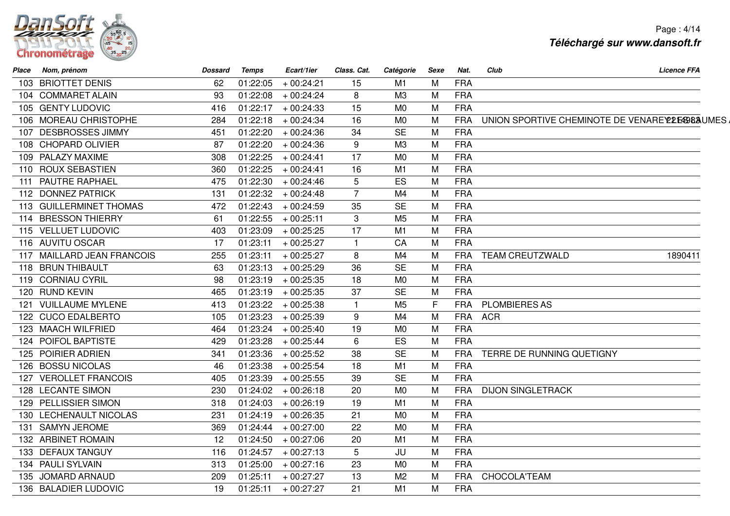

Page : 4/14

**Téléchargé sur www.dansoft.fr**

| Place | Nom, prénom                | <b>Dossard</b> | <b>Temps</b> | Ecart/1ier  | Class. Cat.    | Catégorie      | Sexe | Nat.       | Club                                            | <b>Licence FFA</b> |
|-------|----------------------------|----------------|--------------|-------------|----------------|----------------|------|------------|-------------------------------------------------|--------------------|
|       | 103 BRIOTTET DENIS         | 62             | 01:22:05     | $+00:24:21$ | 15             | M1             | M    | <b>FRA</b> |                                                 |                    |
|       | 104 COMMARET ALAIN         | 93             | 01:22:08     | $+00:24:24$ | 8              | M3             | M    | <b>FRA</b> |                                                 |                    |
|       | 105 GENTY LUDOVIC          | 416            | 01:22:17     | $+00:24:33$ | 15             | M <sub>0</sub> | M    | <b>FRA</b> |                                                 |                    |
|       | 106 MOREAU CHRISTOPHE      | 284            | 01:22:18     | $+00:24:34$ | 16             | M <sub>0</sub> | M    | <b>FRA</b> | UNION SPORTIVE CHEMINOTE DE VENARE 22 ESSAUMES. |                    |
|       | 107 DESBROSSES JIMMY       | 451            | 01:22:20     | $+00:24:36$ | 34             | <b>SE</b>      | M    | <b>FRA</b> |                                                 |                    |
|       | 108 CHOPARD OLIVIER        | 87             | 01:22:20     | $+00:24:36$ | 9              | M <sub>3</sub> | M    | <b>FRA</b> |                                                 |                    |
|       | 109 PALAZY MAXIME          | 308            | 01:22:25     | $+00:24:41$ | 17             | M <sub>0</sub> | M    | <b>FRA</b> |                                                 |                    |
|       | 110 ROUX SEBASTIEN         | 360            | 01:22:25     | $+00:24:41$ | 16             | M1             | M    | <b>FRA</b> |                                                 |                    |
|       | 111 PAUTRE RAPHAEL         | 475            | 01:22:30     | $+00:24:46$ | 5              | <b>ES</b>      | M    | <b>FRA</b> |                                                 |                    |
|       | 112 DONNEZ PATRICK         | 131            | 01:22:32     | $+00:24:48$ | $\overline{7}$ | M4             | M    | <b>FRA</b> |                                                 |                    |
|       | 113 GUILLERMINET THOMAS    | 472            | 01:22:43     | $+00:24:59$ | 35             | <b>SE</b>      | M    | <b>FRA</b> |                                                 |                    |
|       | 114 BRESSON THIERRY        | 61             | 01:22:55     | $+00:25:11$ | 3              | M <sub>5</sub> | M    | <b>FRA</b> |                                                 |                    |
| 115   | <b>VELLUET LUDOVIC</b>     | 403            | 01:23:09     | $+00:25:25$ | 17             | M1             | M    | <b>FRA</b> |                                                 |                    |
|       | 116 AUVITU OSCAR           | 17             | 01:23:11     | $+00:25:27$ | $\mathbf{1}$   | CA             | M    | <b>FRA</b> |                                                 |                    |
|       | 117 MAILLARD JEAN FRANCOIS | 255            | 01:23:11     | $+00:25:27$ | 8              | M <sub>4</sub> | M    | <b>FRA</b> | <b>TEAM CREUTZWALD</b>                          | 1890411            |
|       | 118 BRUN THIBAULT          | 63             | 01:23:13     | $+00:25:29$ | 36             | <b>SE</b>      | M    | <b>FRA</b> |                                                 |                    |
|       | 119 CORNIAU CYRIL          | 98             | 01:23:19     | $+00:25:35$ | 18             | M <sub>0</sub> | M    | <b>FRA</b> |                                                 |                    |
|       | 120 RUND KEVIN             | 465            | 01:23:19     | $+00:25:35$ | 37             | <b>SE</b>      | M    | <b>FRA</b> |                                                 |                    |
|       | 121 VUILLAUME MYLENE       | 413            | 01:23:22     | $+00:25:38$ | $\mathbf{1}$   | M <sub>5</sub> | F    | <b>FRA</b> | <b>PLOMBIERES AS</b>                            |                    |
|       | 122 CUCO EDALBERTO         | 105            | 01:23:23     | $+00:25:39$ | 9              | M <sub>4</sub> | M    | <b>FRA</b> | <b>ACR</b>                                      |                    |
|       | 123 MAACH WILFRIED         | 464            | 01:23:24     | $+00:25:40$ | 19             | M <sub>0</sub> | M    | <b>FRA</b> |                                                 |                    |
|       | 124 POIFOL BAPTISTE        | 429            | 01:23:28     | $+00:25:44$ | 6              | <b>ES</b>      | M    | <b>FRA</b> |                                                 |                    |
|       | 125 POIRIER ADRIEN         | 341            | 01:23:36     | $+00:25:52$ | 38             | <b>SE</b>      | M    | <b>FRA</b> | TERRE DE RUNNING QUETIGNY                       |                    |
|       | 126 BOSSU NICOLAS          | 46             | 01:23:38     | $+00:25:54$ | 18             | M1             | M    | <b>FRA</b> |                                                 |                    |
| 127   | <b>VEROLLET FRANCOIS</b>   | 405            | 01:23:39     | $+00:25:55$ | 39             | <b>SE</b>      | M    | <b>FRA</b> |                                                 |                    |
|       | 128 LECANTE SIMON          | 230            | 01:24:02     | $+00:26:18$ | 20             | M <sub>0</sub> | M    | <b>FRA</b> | <b>DIJON SINGLETRACK</b>                        |                    |
|       | 129 PELLISSIER SIMON       | 318            | 01:24:03     | $+00:26:19$ | 19             | M1             | M    | <b>FRA</b> |                                                 |                    |
|       | 130 LECHENAULT NICOLAS     | 231            | 01:24:19     | $+00:26:35$ | 21             | M <sub>0</sub> | M    | <b>FRA</b> |                                                 |                    |
|       | 131 SAMYN JEROME           | 369            | 01:24:44     | $+00:27:00$ | 22             | M <sub>0</sub> | M    | <b>FRA</b> |                                                 |                    |
|       | 132 ARBINET ROMAIN         | 12             | 01:24:50     | $+00:27:06$ | 20             | M1             | M    | <b>FRA</b> |                                                 |                    |
|       | 133 DEFAUX TANGUY          | 116            | 01:24:57     | $+00:27:13$ | 5              | JU             | M    | <b>FRA</b> |                                                 |                    |
|       | 134 PAULI SYLVAIN          | 313            | 01:25:00     | $+00:27:16$ | 23             | M <sub>0</sub> | M    | <b>FRA</b> |                                                 |                    |
|       | 135 JOMARD ARNAUD          | 209            | 01:25:11     | $+00:27:27$ | 13             | M <sub>2</sub> | M    | <b>FRA</b> | CHOCOLA'TEAM                                    |                    |
|       | 136 BALADIER LUDOVIC       | 19             | 01:25:11     | $+00:27:27$ | 21             | M1             | M    | <b>FRA</b> |                                                 |                    |
|       |                            |                |              |             |                |                |      |            |                                                 |                    |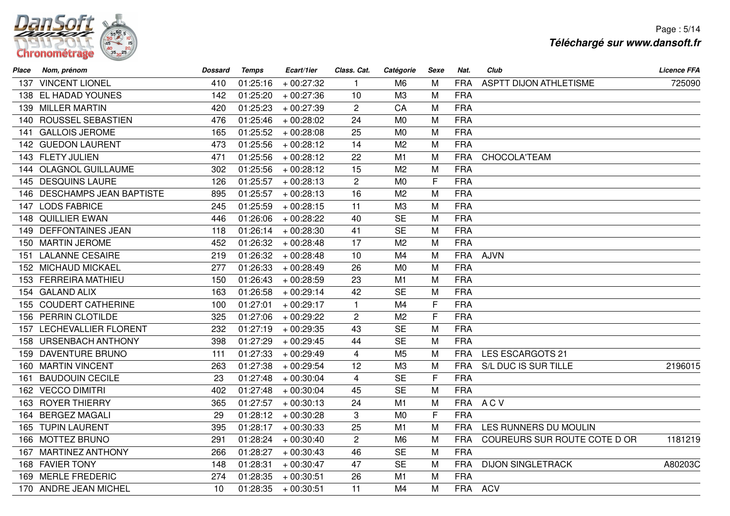

| Place | Nom, prénom                 | <b>Dossard</b> | <b>Temps</b> | Ecart/1ier  | Class. Cat.    | Catégorie      | <b>Sexe</b>  | Nat.       | Club                          | <b>Licence FFA</b> |
|-------|-----------------------------|----------------|--------------|-------------|----------------|----------------|--------------|------------|-------------------------------|--------------------|
|       | 137 VINCENT LIONEL          | 410            | 01:25:16     | $+00:27:32$ | $\mathbf{1}$   | M <sub>6</sub> | M            | <b>FRA</b> | <b>ASPTT DIJON ATHLETISME</b> | 725090             |
|       | 138 EL HADAD YOUNES         | 142            | 01:25:20     | $+00:27:36$ | 10             | M3             | M            | <b>FRA</b> |                               |                    |
|       | 139 MILLER MARTIN           | 420            | 01:25:23     | $+00:27:39$ | $\overline{2}$ | CA             | M            | <b>FRA</b> |                               |                    |
|       | 140 ROUSSEL SEBASTIEN       | 476            | 01:25:46     | $+00:28:02$ | 24             | M <sub>0</sub> | M            | <b>FRA</b> |                               |                    |
|       | 141 GALLOIS JEROME          | 165            | 01:25:52     | $+00:28:08$ | 25             | M <sub>0</sub> | M            | <b>FRA</b> |                               |                    |
|       | 142 GUEDON LAURENT          | 473            | 01:25:56     | $+00:28:12$ | 14             | M <sub>2</sub> | M            | <b>FRA</b> |                               |                    |
|       | 143 FLETY JULIEN            | 471            | 01:25:56     | $+00:28:12$ | 22             | M1             | M            | <b>FRA</b> | <b>CHOCOLA'TEAM</b>           |                    |
|       | 144 OLAGNOL GUILLAUME       | 302            | 01:25:56     | $+00:28:12$ | 15             | M <sub>2</sub> | M            | <b>FRA</b> |                               |                    |
|       | 145 DESQUINS LAURE          | 126            | 01:25:57     | $+00:28:13$ | $\overline{c}$ | M <sub>0</sub> | F            | <b>FRA</b> |                               |                    |
|       | 146 DESCHAMPS JEAN BAPTISTE | 895            | 01:25:57     | $+00:28:13$ | 16             | M <sub>2</sub> | M            | <b>FRA</b> |                               |                    |
|       | 147 LODS FABRICE            | 245            | 01:25:59     | $+00:28:15$ | 11             | M <sub>3</sub> | M            | <b>FRA</b> |                               |                    |
|       | 148 QUILLIER EWAN           | 446            | 01:26:06     | $+00:28:22$ | 40             | <b>SE</b>      | M            | <b>FRA</b> |                               |                    |
|       | 149 DEFFONTAINES JEAN       | 118            | 01:26:14     | $+00:28:30$ | 41             | <b>SE</b>      | M            | <b>FRA</b> |                               |                    |
|       | 150 MARTIN JEROME           | 452            | 01:26:32     | $+00:28:48$ | 17             | M <sub>2</sub> | M            | <b>FRA</b> |                               |                    |
| 151   | <b>LALANNE CESAIRE</b>      | 219            | 01:26:32     | $+00:28:48$ | 10             | M4             | M            | <b>FRA</b> | <b>AJVN</b>                   |                    |
|       | 152 MICHAUD MICKAEL         | 277            | 01:26:33     | $+00:28:49$ | 26             | M <sub>0</sub> | M            | <b>FRA</b> |                               |                    |
|       | 153 FERREIRA MATHIEU        | 150            | 01:26:43     | $+00:28:59$ | 23             | M1             | M            | <b>FRA</b> |                               |                    |
|       | 154 GALAND ALIX             | 163            | 01:26:58     | $+00:29:14$ | 42             | <b>SE</b>      | M            | <b>FRA</b> |                               |                    |
|       | 155 COUDERT CATHERINE       | 100            | 01:27:01     | $+00:29:17$ | $\mathbf{1}$   | M4             | $\mathsf{F}$ | <b>FRA</b> |                               |                    |
|       | 156 PERRIN CLOTILDE         | 325            | 01:27:06     | $+00:29:22$ | $\overline{2}$ | M <sub>2</sub> | F            | <b>FRA</b> |                               |                    |
|       | 157 LECHEVALLIER FLORENT    | 232            | 01:27:19     | $+00:29:35$ | 43             | <b>SE</b>      | M            | <b>FRA</b> |                               |                    |
|       | 158 URSENBACH ANTHONY       | 398            | 01:27:29     | $+00:29:45$ | 44             | <b>SE</b>      | M            | <b>FRA</b> |                               |                    |
|       | 159 DAVENTURE BRUNO         | 111            | 01:27:33     | $+00:29:49$ | $\overline{4}$ | M <sub>5</sub> | M            | <b>FRA</b> | <b>LES ESCARGOTS 21</b>       |                    |
|       | 160 MARTIN VINCENT          | 263            | 01:27:38     | $+00:29:54$ | 12             | M3             | M            | <b>FRA</b> | S/L DUC IS SUR TILLE          | 2196015            |
|       | 161 BAUDOUIN CECILE         | 23             | 01:27:48     | $+00:30:04$ | $\overline{4}$ | <b>SE</b>      | F            | <b>FRA</b> |                               |                    |
|       | 162 VECCO DIMITRI           | 402            | 01:27:48     | $+00:30:04$ | 45             | <b>SE</b>      | M            | <b>FRA</b> |                               |                    |
|       | 163 ROYER THIERRY           | 365            | 01:27:57     | $+00:30:13$ | 24             | M1             | M            | <b>FRA</b> | ACV                           |                    |
|       | 164 BERGEZ MAGALI           | 29             | 01:28:12     | $+00:30:28$ | 3              | M <sub>0</sub> | F            | <b>FRA</b> |                               |                    |
|       | 165 TUPIN LAURENT           | 395            | 01:28:17     | $+00:30:33$ | 25             | M1             | M            | <b>FRA</b> | LES RUNNERS DU MOULIN         |                    |
|       | 166 MOTTEZ BRUNO            | 291            | 01:28:24     | $+00:30:40$ | $\overline{2}$ | M <sub>6</sub> | M            | <b>FRA</b> | COUREURS SUR ROUTE COTE D OR  | 1181219            |
|       | 167 MARTINEZ ANTHONY        | 266            | 01:28:27     | $+00:30:43$ | 46             | <b>SE</b>      | M            | <b>FRA</b> |                               |                    |
|       | 168 FAVIER TONY             | 148            | 01:28:31     | $+00:30:47$ | 47             | <b>SE</b>      | M            | <b>FRA</b> | <b>DIJON SINGLETRACK</b>      | A80203C            |
|       | 169 MERLE FREDERIC          | 274            | 01:28:35     | $+00:30:51$ | 26             | M1             | M            | <b>FRA</b> |                               |                    |
|       | 170 ANDRE JEAN MICHEL       | 10             | 01:28:35     | $+00:30:51$ | 11             | M <sub>4</sub> | M            | FRA ACV    |                               |                    |
|       |                             |                |              |             |                |                |              |            |                               |                    |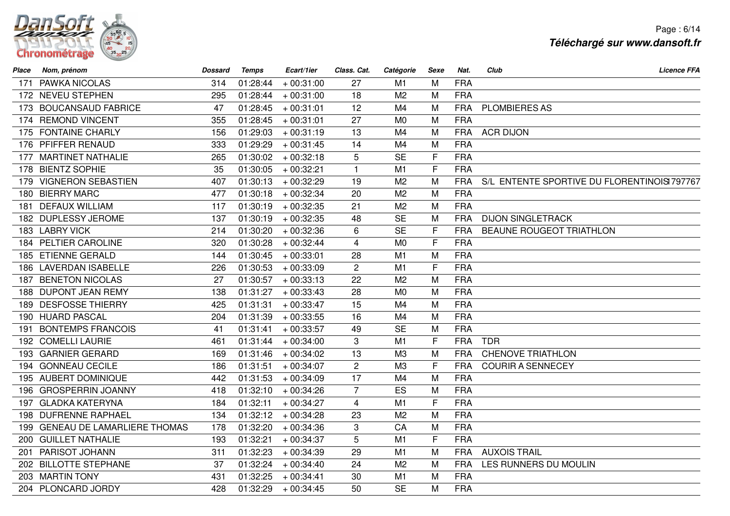

Page : 6/14**Téléchargé sur www.dansoft.fr**

| Place | Nom, prénom                     | <b>Dossard</b> | <b>Temps</b> | Ecart/1ier  | Class. Cat.    | Catégorie      | Sexe         | Nat.       | Club<br><b>Licence FFA</b>                   |
|-------|---------------------------------|----------------|--------------|-------------|----------------|----------------|--------------|------------|----------------------------------------------|
| 171   | PAWKA NICOLAS                   | 314            | 01:28:44     | $+00:31:00$ | 27             | M1             | M            | <b>FRA</b> |                                              |
|       | 172 NEVEU STEPHEN               | 295            | 01:28:44     | $+00:31:00$ | 18             | M <sub>2</sub> | M            | <b>FRA</b> |                                              |
|       | 173 BOUCANSAUD FABRICE          | 47             | 01:28:45     | $+00:31:01$ | 12             | M4             | M            | <b>FRA</b> | <b>PLOMBIERES AS</b>                         |
|       | 174 REMOND VINCENT              | 355            | 01:28:45     | $+00:31:01$ | 27             | M <sub>0</sub> | M            | <b>FRA</b> |                                              |
|       | 175 FONTAINE CHARLY             | 156            | 01:29:03     | $+00:31:19$ | 13             | M4             | M            | <b>FRA</b> | <b>ACR DIJON</b>                             |
|       | 176 PFIFFER RENAUD              | 333            | 01:29:29     | $+00:31:45$ | 14             | M <sub>4</sub> | M            | <b>FRA</b> |                                              |
|       | 177 MARTINET NATHALIE           | 265            | 01:30:02     | $+00:32:18$ | 5              | <b>SE</b>      | F            | <b>FRA</b> |                                              |
|       | 178 BIENTZ SOPHIE               | 35             | 01:30:05     | $+00:32:21$ | $\mathbf{1}$   | M <sub>1</sub> | F            | <b>FRA</b> |                                              |
|       | 179 VIGNERON SEBASTIEN          | 407            | 01:30:13     | $+00:32:29$ | 19             | M <sub>2</sub> | M            | <b>FRA</b> | S/L ENTENTE SPORTIVE DU FLORENTINOISI 797767 |
|       | 180 BIERRY MARC                 | 477            | 01:30:18     | $+00:32:34$ | 20             | M <sub>2</sub> | M            | <b>FRA</b> |                                              |
| 181   | <b>DEFAUX WILLIAM</b>           | 117            | 01:30:19     | $+00:32:35$ | 21             | M <sub>2</sub> | M            | <b>FRA</b> |                                              |
|       | 182 DUPLESSY JEROME             | 137            | 01:30:19     | $+00:32:35$ | 48             | <b>SE</b>      | M            | <b>FRA</b> | <b>DIJON SINGLETRACK</b>                     |
|       | 183 LABRY VICK                  | 214            | 01:30:20     | $+00:32:36$ | 6              | <b>SE</b>      | F            | <b>FRA</b> | BEAUNE ROUGEOT TRIATHLON                     |
|       | 184 PELTIER CAROLINE            | 320            | 01:30:28     | $+00:32:44$ | $\overline{4}$ | M <sub>0</sub> | F            | <b>FRA</b> |                                              |
|       | 185 ETIENNE GERALD              | 144            | 01:30:45     | $+00:33:01$ | 28             | M1             | M            | <b>FRA</b> |                                              |
|       | 186 LAVERDAN ISABELLE           | 226            | 01:30:53     | $+00:33:09$ | $\overline{2}$ | M1             | F            | <b>FRA</b> |                                              |
|       | 187 BENETON NICOLAS             | 27             | 01:30:57     | $+00:33:13$ | 22             | M <sub>2</sub> | M            | <b>FRA</b> |                                              |
|       | 188 DUPONT JEAN REMY            | 138            | 01:31:27     | $+00:33:43$ | 28             | M <sub>0</sub> | M            | <b>FRA</b> |                                              |
|       | 189 DESFOSSE THIERRY            | 425            | 01:31:31     | $+00:33:47$ | 15             | M4             | M            | <b>FRA</b> |                                              |
|       | 190 HUARD PASCAL                | 204            | 01:31:39     | $+00:33:55$ | 16             | M <sub>4</sub> | M            | <b>FRA</b> |                                              |
| 191   | <b>BONTEMPS FRANCOIS</b>        | 41             | 01:31:41     | $+00:33:57$ | 49             | <b>SE</b>      | M            | <b>FRA</b> |                                              |
|       | 192 COMELLI LAURIE              | 461            | 01:31:44     | $+00:34:00$ | 3              | M1             | F            | <b>FRA</b> | <b>TDR</b>                                   |
|       | 193 GARNIER GERARD              | 169            | 01:31:46     | $+00:34:02$ | 13             | M <sub>3</sub> | M            | <b>FRA</b> | <b>CHENOVE TRIATHLON</b>                     |
|       | 194 GONNEAU CECILE              | 186            | 01:31:51     | $+00:34:07$ | $\overline{2}$ | M3             | F            | <b>FRA</b> | <b>COURIR A SENNECEY</b>                     |
|       | 195 AUBERT DOMINIQUE            | 442            | 01:31:53     | $+00:34:09$ | 17             | M4             | M            | <b>FRA</b> |                                              |
|       | 196 GROSPERRIN JOANNY           | 418            | 01:32:10     | $+00:34:26$ | $\overline{7}$ | <b>ES</b>      | M            | <b>FRA</b> |                                              |
|       | 197 GLADKA KATERYNA             | 184            | 01:32:11     | $+00:34:27$ | $\overline{4}$ | M1             | $\mathsf{F}$ | <b>FRA</b> |                                              |
|       | 198 DUFRENNE RAPHAEL            | 134            | 01:32:12     | $+00:34:28$ | 23             | M <sub>2</sub> | M            | <b>FRA</b> |                                              |
|       | 199 GENEAU DE LAMARLIERE THOMAS | 178            | 01:32:20     | $+00:34:36$ | 3              | CA             | M            | <b>FRA</b> |                                              |
|       | 200 GUILLET NATHALIE            | 193            | 01:32:21     | $+00:34:37$ | 5              | M1             | F            | <b>FRA</b> |                                              |
| 201   | PARISOT JOHANN                  | 311            | 01:32:23     | $+00:34:39$ | 29             | M <sub>1</sub> | M            | <b>FRA</b> | <b>AUXOIS TRAIL</b>                          |
|       | 202 BILLOTTE STEPHANE           | 37             | 01:32:24     | $+00:34:40$ | 24             | M <sub>2</sub> | M            | <b>FRA</b> | LES RUNNERS DU MOULIN                        |
|       | 203 MARTIN TONY                 | 431            | 01:32:25     | $+00:34:41$ | 30             | M1             | M            | <b>FRA</b> |                                              |
|       | 204 PLONCARD JORDY              | 428            | 01:32:29     | $+00:34:45$ | 50             | <b>SE</b>      | M            | <b>FRA</b> |                                              |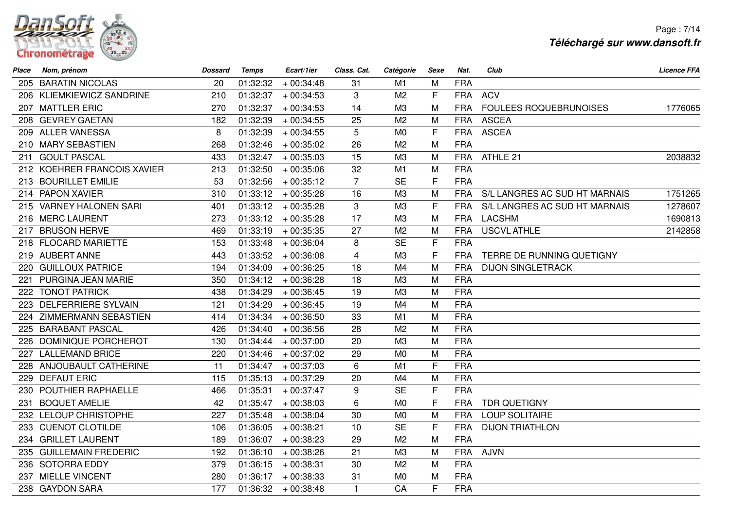

Page : 7/14**Téléchargé sur www.dansoft.fr**

| Place | Nom, prénom                 | <b>Dossard</b> | <b>Temps</b> | Ecart/1ier            | Class. Cat.    | Catégorie      | Sexe         | Nat.       | Club                          | <b>Licence FFA</b> |
|-------|-----------------------------|----------------|--------------|-----------------------|----------------|----------------|--------------|------------|-------------------------------|--------------------|
|       | 205 BARATIN NICOLAS         | 20             | 01:32:32     | $+00:34:48$           | 31             | M1             | M            | <b>FRA</b> |                               |                    |
|       | 206 KLIEMKIEWICZ SANDRINE   | 210            | 01:32:37     | $+00:34:53$           | 3              | M <sub>2</sub> | F            | <b>FRA</b> | <b>ACV</b>                    |                    |
|       | 207 MATTLER ERIC            | 270            | 01:32:37     | $+00:34:53$           | 14             | M3             | M            | <b>FRA</b> | FOULEES ROQUEBRUNOISES        | 1776065            |
|       | 208 GEVREY GAETAN           | 182            | 01:32:39     | $+00:34:55$           | 25             | M <sub>2</sub> | M            | <b>FRA</b> | <b>ASCEA</b>                  |                    |
|       | 209 ALLER VANESSA           | 8              | 01:32:39     | $+00:34:55$           | 5              | M <sub>0</sub> | F            | <b>FRA</b> | <b>ASCEA</b>                  |                    |
|       | 210 MARY SEBASTIEN          | 268            | 01:32:46     | $+00:35:02$           | 26             | M <sub>2</sub> | M            | <b>FRA</b> |                               |                    |
| 211   | <b>GOULT PASCAL</b>         | 433            | 01:32:47     | $+00:35:03$           | 15             | M3             | M            | <b>FRA</b> | ATHLE 21                      | 2038832            |
|       | 212 KOEHRER FRANCOIS XAVIER | 213            | 01:32:50     | $+00:35:06$           | 32             | M1             | M            | <b>FRA</b> |                               |                    |
|       | 213 BOURILLET EMILIE        | 53             | 01:32:56     | $+00:35:12$           | $\overline{7}$ | <b>SE</b>      | F            | <b>FRA</b> |                               |                    |
|       | 214 PAPON XAVIER            | 310            | 01:33:12     | $+00:35:28$           | 16             | M3             | M            | <b>FRA</b> | S/L LANGRES AC SUD HT MARNAIS | 1751265            |
|       | 215 VARNEY HALONEN SARI     | 401            | 01:33:12     | $+00:35:28$           | 3              | M3             | F            | <b>FRA</b> | S/L LANGRES AC SUD HT MARNAIS | 1278607            |
|       | 216 MERC LAURENT            | 273            | 01:33:12     | $+00:35:28$           | 17             | M3             | M            | <b>FRA</b> | <b>LACSHM</b>                 | 1690813            |
|       | 217 BRUSON HERVE            | 469            | 01:33:19     | $+00:35:35$           | 27             | M <sub>2</sub> | M            | <b>FRA</b> | <b>USCVL ATHLE</b>            | 2142858            |
|       | 218 FLOCARD MARIETTE        | 153            | 01:33:48     | $+00:36:04$           | 8              | <b>SE</b>      | $\mathsf{F}$ | <b>FRA</b> |                               |                    |
|       | 219 AUBERT ANNE             | 443            | 01:33:52     | $+00:36:08$           | $\overline{4}$ | M <sub>3</sub> | F            | <b>FRA</b> | TERRE DE RUNNING QUETIGNY     |                    |
|       | 220 GUILLOUX PATRICE        | 194            | 01:34:09     | $+00:36:25$           | 18             | M4             | M            | <b>FRA</b> | <b>DIJON SINGLETRACK</b>      |                    |
|       | 221 PURGINA JEAN MARIE      | 350            | 01:34:12     | $+00:36:28$           | 18             | M <sub>3</sub> | M            | <b>FRA</b> |                               |                    |
|       | 222 TONOT PATRICK           | 438            | 01:34:29     | $+00:36:45$           | 19             | M <sub>3</sub> | M            | <b>FRA</b> |                               |                    |
|       | 223 DELFERRIERE SYLVAIN     | 121            | 01:34:29     | $+00:36:45$           | 19             | M4             | M            | <b>FRA</b> |                               |                    |
|       | 224 ZIMMERMANN SEBASTIEN    | 414            | 01:34:34     | $+00:36:50$           | 33             | M1             | M            | <b>FRA</b> |                               |                    |
|       | 225 BARABANT PASCAL         | 426            | 01:34:40     | $+00:36:56$           | 28             | M <sub>2</sub> | M            | <b>FRA</b> |                               |                    |
|       | 226 DOMINIQUE PORCHEROT     | 130            | 01:34:44     | $+00:37:00$           | 20             | M3             | M            | <b>FRA</b> |                               |                    |
|       | 227 LALLEMAND BRICE         | 220            | 01:34:46     | $+00:37:02$           | 29             | M <sub>0</sub> | M            | <b>FRA</b> |                               |                    |
|       | 228 ANJOUBAULT CATHERINE    | 11             | 01:34:47     | $+00:37:03$           | 6              | M <sub>1</sub> | F            | <b>FRA</b> |                               |                    |
|       | 229 DEFAUT ERIC             | 115            | 01:35:13     | $+00:37:29$           | 20             | M4             | M            | <b>FRA</b> |                               |                    |
|       | 230 POUTHIER RAPHAELLE      | 466            | 01:35:31     | $+00:37:47$           | 9              | <b>SE</b>      | $\mathsf F$  | <b>FRA</b> |                               |                    |
|       | 231 BOQUET AMELIE           | 42             | 01:35:47     | $+00:38:03$           | 6              | M <sub>0</sub> | F            | <b>FRA</b> | <b>TDR QUETIGNY</b>           |                    |
|       | 232 LELOUP CHRISTOPHE       | 227            | 01:35:48     | $+00:38:04$           | 30             | M <sub>0</sub> | M            | <b>FRA</b> | <b>LOUP SOLITAIRE</b>         |                    |
|       | 233 CUENOT CLOTILDE         | 106            | 01:36:05     | $+00:38:21$           | 10             | <b>SE</b>      | F            | <b>FRA</b> | <b>DIJON TRIATHLON</b>        |                    |
| 234   | <b>GRILLET LAURENT</b>      | 189            | 01:36:07     | $+00:38:23$           | 29             | M <sub>2</sub> | M            | <b>FRA</b> |                               |                    |
|       | 235 GUILLEMAIN FREDERIC     | 192            | 01:36:10     | $+00:38:26$           | 21             | M <sub>3</sub> | M            | <b>FRA</b> | <b>AJVN</b>                   |                    |
|       | 236 SOTORRA EDDY            | 379            | 01:36:15     | $+00:38:31$           | 30             | M <sub>2</sub> | M            | <b>FRA</b> |                               |                    |
| 237   | <b>MIELLE VINCENT</b>       | 280            | 01:36:17     | $+00:38:33$           | 31             | M <sub>0</sub> | M            | <b>FRA</b> |                               |                    |
|       | 238 GAYDON SARA             | 177            |              | $01:36:32 + 00:38:48$ | $\mathbf{1}$   | CA             | F            | <b>FRA</b> |                               |                    |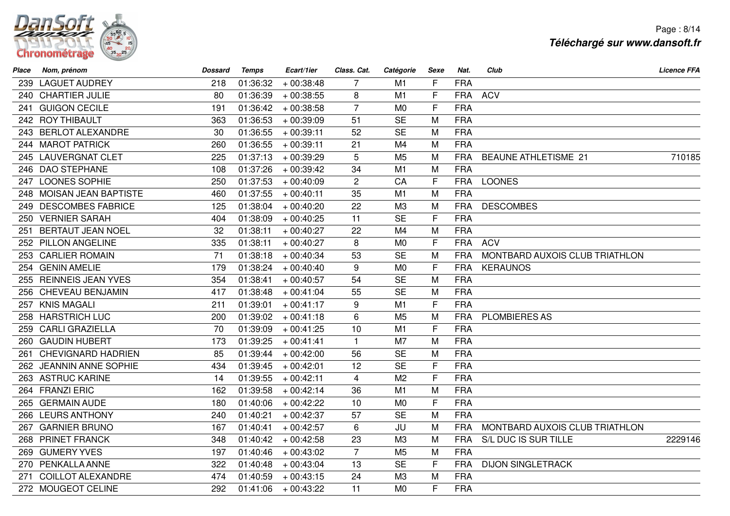

Page : 8/14**Téléchargé sur www.dansoft.fr**

| Place | Nom, prénom               | <b>Dossard</b> | <b>Temps</b> | Ecart/1ier  | Class. Cat.    | Catégorie      | Sexe         | Nat.       | Club                           | <b>Licence FFA</b> |
|-------|---------------------------|----------------|--------------|-------------|----------------|----------------|--------------|------------|--------------------------------|--------------------|
|       | 239 LAGUET AUDREY         | 218            | 01:36:32     | $+00:38:48$ | $\overline{7}$ | M1             | F            | <b>FRA</b> |                                |                    |
|       | 240 CHARTIER JULIE        | 80             | 01:36:39     | $+00:38:55$ | 8              | M1             | F            | <b>FRA</b> | <b>ACV</b>                     |                    |
| 241   | <b>GUIGON CECILE</b>      | 191            | 01:36:42     | $+00:38:58$ | $\overline{7}$ | M <sub>0</sub> | F            | <b>FRA</b> |                                |                    |
|       | 242 ROY THIBAULT          | 363            | 01:36:53     | $+00:39:09$ | 51             | <b>SE</b>      | M            | <b>FRA</b> |                                |                    |
|       | 243 BERLOT ALEXANDRE      | 30             | 01:36:55     | $+00:39:11$ | 52             | <b>SE</b>      | M            | <b>FRA</b> |                                |                    |
|       | 244 MAROT PATRICK         | 260            | 01:36:55     | $+00:39:11$ | 21             | M4             | M            | <b>FRA</b> |                                |                    |
|       | 245 LAUVERGNAT CLET       | 225            | 01:37:13     | $+00:39:29$ | 5              | M <sub>5</sub> | М            | <b>FRA</b> | <b>BEAUNE ATHLETISME 21</b>    | 710185             |
|       | 246 DAO STEPHANE          | 108            | 01:37:26     | $+00:39:42$ | 34             | M <sub>1</sub> | M            | <b>FRA</b> |                                |                    |
|       | 247 LOONES SOPHIE         | 250            | 01:37:53     | $+00:40:09$ | $\overline{c}$ | CA             | F            | <b>FRA</b> | <b>LOONES</b>                  |                    |
|       | 248 MOISAN JEAN BAPTISTE  | 460            | 01:37:55     | $+00:40:11$ | 35             | M1             | M            | <b>FRA</b> |                                |                    |
| 249   | <b>DESCOMBES FABRICE</b>  | 125            | 01:38:04     | $+00:40:20$ | 22             | M3             | M            | <b>FRA</b> | <b>DESCOMBES</b>               |                    |
| 250   | <b>VERNIER SARAH</b>      | 404            | 01:38:09     | $+00:40:25$ | 11             | <b>SE</b>      | $\mathsf{F}$ | <b>FRA</b> |                                |                    |
| 251   | <b>BERTAUT JEAN NOEL</b>  | 32             | 01:38:11     | $+00:40:27$ | 22             | M4             | M            | <b>FRA</b> |                                |                    |
|       | 252 PILLON ANGELINE       | 335            | 01:38:11     | $+00:40:27$ | 8              | M <sub>0</sub> | $\mathsf{F}$ | <b>FRA</b> | <b>ACV</b>                     |                    |
|       | 253 CARLIER ROMAIN        | 71             | 01:38:18     | $+00:40:34$ | 53             | <b>SE</b>      | M            | <b>FRA</b> | MONTBARD AUXOIS CLUB TRIATHLON |                    |
|       | 254 GENIN AMELIE          | 179            | 01:38:24     | $+00:40:40$ | 9              | M <sub>0</sub> | F            | <b>FRA</b> | <b>KERAUNOS</b>                |                    |
|       | 255 REINNEIS JEAN YVES    | 354            | 01:38:41     | $+00:40:57$ | 54             | <b>SE</b>      | М            | <b>FRA</b> |                                |                    |
|       | 256 CHEVEAU BENJAMIN      | 417            | 01:38:48     | $+00:41:04$ | 55             | <b>SE</b>      | M            | <b>FRA</b> |                                |                    |
|       | 257 KNIS MAGALI           | 211            | 01:39:01     | $+00:41:17$ | 9              | M1             | F            | <b>FRA</b> |                                |                    |
|       | 258 HARSTRICH LUC         | 200            | 01:39:02     | $+00:41:18$ | 6              | M <sub>5</sub> | M            | <b>FRA</b> | <b>PLOMBIERES AS</b>           |                    |
|       | 259 CARLI GRAZIELLA       | 70             | 01:39:09     | $+00:41:25$ | 10             | M1             | $\mathsf{F}$ | <b>FRA</b> |                                |                    |
|       | 260 GAUDIN HUBERT         | 173            | 01:39:25     | $+00:41:41$ | $\mathbf{1}$   | M <sub>7</sub> | M            | <b>FRA</b> |                                |                    |
| 261   | <b>CHEVIGNARD HADRIEN</b> | 85             | 01:39:44     | $+00:42:00$ | 56             | <b>SE</b>      | M            | <b>FRA</b> |                                |                    |
|       | 262 JEANNIN ANNE SOPHIE   | 434            | 01:39:45     | $+00:42:01$ | 12             | <b>SE</b>      | $\mathsf{F}$ | <b>FRA</b> |                                |                    |
|       | 263 ASTRUC KARINE         | 14             | 01:39:55     | $+00:42:11$ | $\overline{4}$ | M <sub>2</sub> | F            | <b>FRA</b> |                                |                    |
|       | 264 FRANZI ERIC           | 162            | 01:39:58     | $+00:42:14$ | 36             | M1             | M            | <b>FRA</b> |                                |                    |
|       | 265 GERMAIN AUDE          | 180            | 01:40:06     | $+00:42:22$ | 10             | M <sub>0</sub> | $\mathsf{F}$ | <b>FRA</b> |                                |                    |
|       | 266 LEURS ANTHONY         | 240            | 01:40:21     | $+00:42:37$ | 57             | <b>SE</b>      | M            | <b>FRA</b> |                                |                    |
|       | 267 GARNIER BRUNO         | 167            | 01:40:41     | $+00:42:57$ | 6              | JU             | M            | <b>FRA</b> | MONTBARD AUXOIS CLUB TRIATHLON |                    |
|       | 268 PRINET FRANCK         | 348            | 01:40:42     | $+00:42:58$ | 23             | M3             | M            | <b>FRA</b> | S/L DUC IS SUR TILLE           | 2229146            |
|       | 269 GUMERY YVES           | 197            | 01:40:46     | $+00:43:02$ | $\overline{7}$ | M <sub>5</sub> | M            | <b>FRA</b> |                                |                    |
| 270   | PENKALLA ANNE             | 322            | 01:40:48     | $+00:43:04$ | 13             | <b>SE</b>      | $\mathsf{F}$ | <b>FRA</b> | <b>DIJON SINGLETRACK</b>       |                    |
| 271   | <b>COILLOT ALEXANDRE</b>  | 474            | 01:40:59     | $+00:43:15$ | 24             | M3             | M            | <b>FRA</b> |                                |                    |
|       | 272 MOUGEOT CELINE        | 292            | 01:41:06     | $+00:43:22$ | 11             | M <sub>0</sub> | F            | <b>FRA</b> |                                |                    |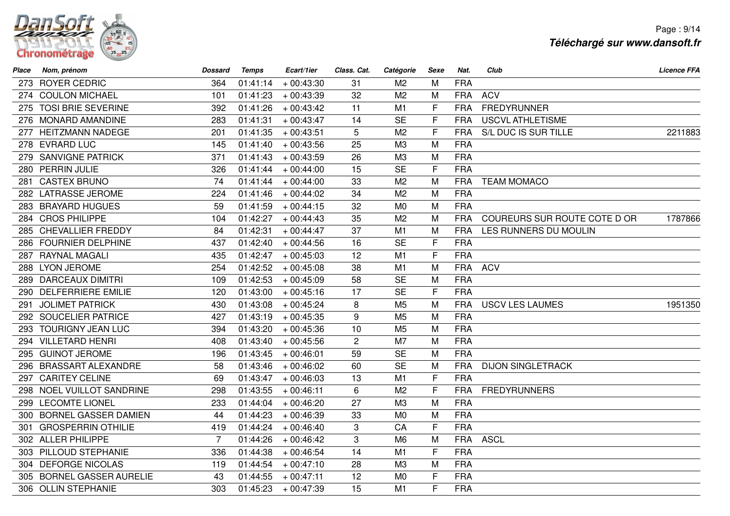

Page : 9/14**Téléchargé sur www.dansoft.fr**

| Place | Nom, prénom                  | <b>Dossard</b> | <b>Temps</b> | Ecart/1ier  | Class. Cat.    | Catégorie      | Sexe         | Nat.       | Club                         | <b>Licence FFA</b> |
|-------|------------------------------|----------------|--------------|-------------|----------------|----------------|--------------|------------|------------------------------|--------------------|
|       | 273 ROYER CEDRIC             | 364            | 01:41:14     | $+00:43:30$ | 31             | M <sub>2</sub> | M            | <b>FRA</b> |                              |                    |
|       | 274 COULON MICHAEL           | 101            | 01:41:23     | $+00:43:39$ | 32             | M <sub>2</sub> | M            | <b>FRA</b> | <b>ACV</b>                   |                    |
|       | 275 TOSI BRIE SEVERINE       | 392            | 01:41:26     | $+00:43:42$ | 11             | M1             | F            | <b>FRA</b> | <b>FREDYRUNNER</b>           |                    |
|       | 276 MONARD AMANDINE          | 283            | 01:41:31     | $+00:43:47$ | 14             | <b>SE</b>      | F            | <b>FRA</b> | <b>USCVL ATHLETISME</b>      |                    |
|       | 277 HEITZMANN NADEGE         | 201            | 01:41:35     | $+00:43:51$ | 5              | M <sub>2</sub> | F            | <b>FRA</b> | S/L DUC IS SUR TILLE         | 2211883            |
|       | 278 EVRARD LUC               | 145            | 01:41:40     | $+00:43:56$ | 25             | M3             | M            | <b>FRA</b> |                              |                    |
|       | 279 SANVIGNE PATRICK         | 371            | 01:41:43     | $+00:43:59$ | 26             | M <sub>3</sub> | M            | <b>FRA</b> |                              |                    |
|       | 280 PERRIN JULIE             | 326            | 01:41:44     | $+00:44:00$ | 15             | <b>SE</b>      | F            | <b>FRA</b> |                              |                    |
|       | 281 CASTEX BRUNO             | 74             | 01:41:44     | $+00:44:00$ | 33             | M <sub>2</sub> | M            | <b>FRA</b> | <b>TEAM MOMACO</b>           |                    |
|       | 282 LATRASSE JEROME          | 224            | 01:41:46     | $+00:44:02$ | 34             | M <sub>2</sub> | M            | <b>FRA</b> |                              |                    |
| 283   | <b>BRAYARD HUGUES</b>        | 59             | 01:41:59     | $+00:44:15$ | 32             | M <sub>0</sub> | M            | <b>FRA</b> |                              |                    |
| 284   | <b>CROS PHILIPPE</b>         | 104            | 01:42:27     | $+00:44:43$ | 35             | M <sub>2</sub> | M            | <b>FRA</b> | COUREURS SUR ROUTE COTE D OR | 1787866            |
|       | 285 CHEVALLIER FREDDY        | 84             | 01:42:31     | $+00:44:47$ | 37             | M1             | M            | <b>FRA</b> | LES RUNNERS DU MOULIN        |                    |
|       | 286 FOURNIER DELPHINE        | 437            | 01:42:40     | $+00:44:56$ | 16             | <b>SE</b>      | F            | <b>FRA</b> |                              |                    |
|       | 287 RAYNAL MAGALI            | 435            | 01:42:47     | $+00:45:03$ | 12             | M1             | F            | <b>FRA</b> |                              |                    |
|       | 288 LYON JEROME              | 254            | 01:42:52     | $+00:45:08$ | 38             | M1             | M            | <b>FRA</b> | <b>ACV</b>                   |                    |
|       | 289 DARCEAUX DIMITRI         | 109            | 01:42:53     | $+00:45:09$ | 58             | <b>SE</b>      | M            | <b>FRA</b> |                              |                    |
|       | 290 DELFERRIERE EMILIE       | 120            | 01:43:00     | $+00:45:16$ | 17             | <b>SE</b>      | F            | <b>FRA</b> |                              |                    |
| 291   | <b>JOLIMET PATRICK</b>       | 430            | 01:43:08     | $+00:45:24$ | 8              | M <sub>5</sub> | M            | <b>FRA</b> | <b>USCV LES LAUMES</b>       | 1951350            |
|       | 292 SOUCELIER PATRICE        | 427            | 01:43:19     | $+00:45:35$ | 9              | M <sub>5</sub> | M            | <b>FRA</b> |                              |                    |
|       | 293 TOURIGNY JEAN LUC        | 394            | 01:43:20     | $+00:45:36$ | 10             | M <sub>5</sub> | M            | <b>FRA</b> |                              |                    |
| 294   | <b>VILLETARD HENRI</b>       | 408            | 01:43:40     | $+00:45:56$ | $\overline{2}$ | M <sub>7</sub> | M            | <b>FRA</b> |                              |                    |
| 295   | <b>GUINOT JEROME</b>         | 196            | 01:43:45     | $+00:46:01$ | 59             | <b>SE</b>      | M            | <b>FRA</b> |                              |                    |
|       | 296 BRASSART ALEXANDRE       | 58             | 01:43:46     | $+00:46:02$ | 60             | <b>SE</b>      | M            | <b>FRA</b> | <b>DIJON SINGLETRACK</b>     |                    |
| 297   | <b>CARITEY CELINE</b>        | 69             | 01:43:47     | $+00:46:03$ | 13             | M1             | $\mathsf{F}$ | <b>FRA</b> |                              |                    |
| 298   | NOEL VUILLOT SANDRINE        | 298            | 01:43:55     | $+00:46:11$ | 6              | M <sub>2</sub> | F            | <b>FRA</b> | <b>FREDYRUNNERS</b>          |                    |
|       | 299 LECOMTE LIONEL           | 233            | 01:44:04     | $+00:46:20$ | 27             | M <sub>3</sub> | M            | <b>FRA</b> |                              |                    |
|       | 300 BORNEL GASSER DAMIEN     | 44             | 01:44:23     | $+00:46:39$ | 33             | M <sub>0</sub> | M            | <b>FRA</b> |                              |                    |
|       | 301 GROSPERRIN OTHILIE       | 419            | 01:44:24     | $+00:46:40$ | 3              | CA             | F            | <b>FRA</b> |                              |                    |
|       | 302 ALLER PHILIPPE           | $\overline{7}$ | 01:44:26     | $+00:46:42$ | 3              | M <sub>6</sub> | M            | <b>FRA</b> | <b>ASCL</b>                  |                    |
|       | 303 PILLOUD STEPHANIE        | 336            | 01:44:38     | $+00:46:54$ | 14             | M <sub>1</sub> | F            | <b>FRA</b> |                              |                    |
| 304   | <b>DEFORGE NICOLAS</b>       | 119            | 01:44:54     | $+00:47:10$ | 28             | M3             | M            | <b>FRA</b> |                              |                    |
| 305   | <b>BORNEL GASSER AURELIE</b> | 43             | 01:44:55     | $+00:47:11$ | 12             | M <sub>0</sub> | F            | <b>FRA</b> |                              |                    |
|       | 306 OLLIN STEPHANIE          | 303            | 01:45:23     | $+00:47:39$ | 15             | M1             | F            | <b>FRA</b> |                              |                    |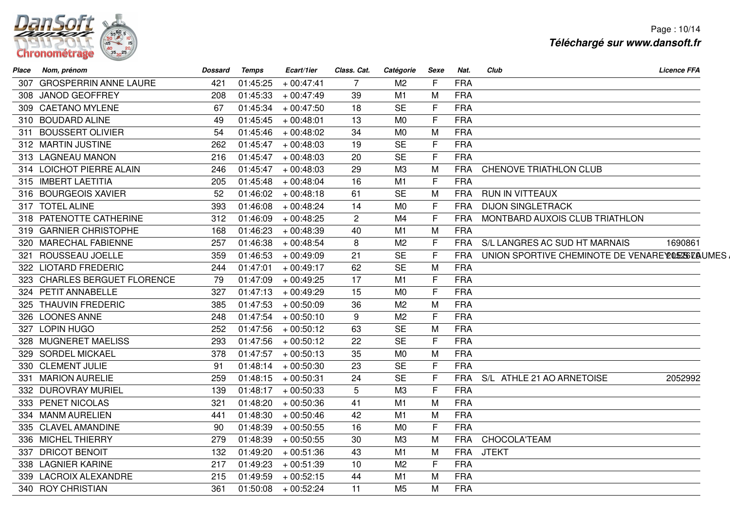

Page : 10/14**Téléchargé sur www.dansoft.fr**

| Place | Nom, prénom                  | <b>Dossard</b> | <b>Temps</b> | Ecart/1ier            | Class. Cat.    | Catégorie      | Sexe         | Nat.       | Club                                            | <b>Licence FFA</b> |
|-------|------------------------------|----------------|--------------|-----------------------|----------------|----------------|--------------|------------|-------------------------------------------------|--------------------|
|       | 307 GROSPERRIN ANNE LAURE    | 421            | 01:45:25     | $+00:47:41$           | $\overline{7}$ | M <sub>2</sub> | F            | <b>FRA</b> |                                                 |                    |
|       | 308 JANOD GEOFFREY           | 208            | 01:45:33     | $+00:47:49$           | 39             | M1             | M            | <b>FRA</b> |                                                 |                    |
|       | 309 CAETANO MYLENE           | 67             | 01:45:34     | $+00:47:50$           | 18             | <b>SE</b>      | $\mathsf{F}$ | <b>FRA</b> |                                                 |                    |
|       | 310 BOUDARD ALINE            | 49             | 01:45:45     | $+00:48:01$           | 13             | M <sub>0</sub> | F            | <b>FRA</b> |                                                 |                    |
|       | 311 BOUSSERT OLIVIER         | 54             |              | $01:45:46 + 00:48:02$ | 34             | M <sub>0</sub> | M            | <b>FRA</b> |                                                 |                    |
|       | 312 MARTIN JUSTINE           | 262            |              | $01:45:47 + 00:48:03$ | 19             | <b>SE</b>      | F            | <b>FRA</b> |                                                 |                    |
|       | 313 LAGNEAU MANON            | 216            | 01:45:47     | $+00:48:03$           | 20             | <b>SE</b>      | F            | <b>FRA</b> |                                                 |                    |
|       | 314 LOICHOT PIERRE ALAIN     | 246            | 01:45:47     | $+00:48:03$           | 29             | M3             | M            | <b>FRA</b> | <b>CHENOVE TRIATHLON CLUB</b>                   |                    |
|       | 315 IMBERT LAETITIA          | 205            | 01:45:48     | $+00:48:04$           | 16             | M1             | F            | <b>FRA</b> |                                                 |                    |
|       | 316 BOURGEOIS XAVIER         | 52             |              | $01:46:02 + 00:48:18$ | 61             | <b>SE</b>      | M            | <b>FRA</b> | RUN IN VITTEAUX                                 |                    |
|       | 317 TOTEL ALINE              | 393            | 01:46:08     | $+00:48:24$           | 14             | M <sub>0</sub> | F            | <b>FRA</b> | <b>DIJON SINGLETRACK</b>                        |                    |
|       | 318 PATENOTTE CATHERINE      | 312            | 01:46:09     | $+00:48:25$           | $\overline{2}$ | M <sub>4</sub> | $\mathsf F$  | <b>FRA</b> | MONTBARD AUXOIS CLUB TRIATHLON                  |                    |
|       | 319 GARNIER CHRISTOPHE       | 168            |              | $01:46:23 + 00:48:39$ | 40             | M1             | M            | <b>FRA</b> |                                                 |                    |
|       | 320 MARECHAL FABIENNE        | 257            |              | $01:46:38 + 00:48:54$ | 8              | M <sub>2</sub> | F            | <b>FRA</b> | S/L LANGRES AC SUD HT MARNAIS                   | 1690861            |
|       | 321 ROUSSEAU JOELLE          | 359            | 01:46:53     | $+00:49:09$           | 21             | <b>SE</b>      | F            | <b>FRA</b> | UNION SPORTIVE CHEMINOTE DE VENARE 20526 LAUMES |                    |
|       | 322 LIOTARD FREDERIC         | 244            | 01:47:01     | $+00:49:17$           | 62             | <b>SE</b>      | M            | <b>FRA</b> |                                                 |                    |
|       | 323 CHARLES BERGUET FLORENCE | 79             | 01:47:09     | $+00:49:25$           | 17             | M1             | F            | <b>FRA</b> |                                                 |                    |
|       | 324 PETIT ANNABELLE          | 327            |              | $01:47:13 + 00:49:29$ | 15             | M <sub>0</sub> | F            | <b>FRA</b> |                                                 |                    |
|       | 325 THAUVIN FREDERIC         | 385            | 01:47:53     | $+00:50:09$           | 36             | M <sub>2</sub> | M            | <b>FRA</b> |                                                 |                    |
|       | 326 LOONES ANNE              | 248            | 01:47:54     | $+00:50:10$           | 9              | M <sub>2</sub> | F            | <b>FRA</b> |                                                 |                    |
|       | 327 LOPIN HUGO               | 252            | 01:47:56     | $+00:50:12$           | 63             | <b>SE</b>      | M            | <b>FRA</b> |                                                 |                    |
|       | 328 MUGNERET MAELISS         | 293            | 01:47:56     | $+00:50:12$           | 22             | <b>SE</b>      | F            | <b>FRA</b> |                                                 |                    |
|       | 329 SORDEL MICKAEL           | 378            | 01:47:57     | $+00:50:13$           | 35             | M <sub>0</sub> | M            | <b>FRA</b> |                                                 |                    |
|       | 330 CLEMENT JULIE            | 91             | 01:48:14     | $+00:50:30$           | 23             | <b>SE</b>      | F            | <b>FRA</b> |                                                 |                    |
|       | 331 MARION AURELIE           | 259            | 01:48:15     | $+00:50:31$           | 24             | <b>SE</b>      | F            | <b>FRA</b> | S/L ATHLE 21 AO ARNETOISE                       | 2052992            |
|       | 332 DUROVRAY MURIEL          | 139            |              | $01:48:17 + 00:50:33$ | 5              | M <sub>3</sub> | F            | <b>FRA</b> |                                                 |                    |
|       | 333 PENET NICOLAS            | 321            |              | $01:48:20 + 00:50:36$ | 41             | M1             | M            | <b>FRA</b> |                                                 |                    |
|       | 334 MANM AURELIEN            | 441            | 01:48:30     | $+00:50:46$           | 42             | M1             | M            | <b>FRA</b> |                                                 |                    |
|       | 335 CLAVEL AMANDINE          | 90             | 01:48:39     | $+00:50:55$           | 16             | M <sub>0</sub> | F            | <b>FRA</b> |                                                 |                    |
|       | 336 MICHEL THIERRY           | 279            | 01:48:39     | $+00:50:55$           | 30             | M3             | M            | <b>FRA</b> | CHOCOLA'TEAM                                    |                    |
|       | 337 DRICOT BENOIT            | 132            | 01:49:20     | $+00:51:36$           | 43             | M1             | м            | <b>FRA</b> | <b>JTEKT</b>                                    |                    |
|       | 338 LAGNIER KARINE           | 217            | 01:49:23     | $+00:51:39$           | 10             | M <sub>2</sub> | $\mathsf F$  | <b>FRA</b> |                                                 |                    |
|       | 339 LACROIX ALEXANDRE        | 215            | 01:49:59     | $+00:52:15$           | 44             | M1             | M            | <b>FRA</b> |                                                 |                    |
|       | 340 ROY CHRISTIAN            | 361            |              | $01:50:08$ + 00:52:24 | 11             | M <sub>5</sub> | M            | <b>FRA</b> |                                                 |                    |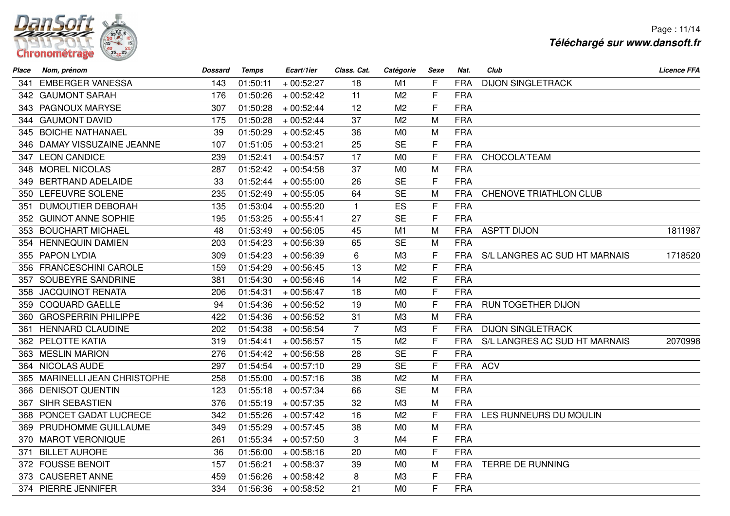

Page : 11/14**Téléchargé sur www.dansoft.fr**

| Place | Nom, prénom                   | <b>Dossard</b> | <b>Temps</b> | Ecart/1ier  | Class. Cat.    | Catégorie      | Sexe        | Nat.       | Club                          | <b>Licence FFA</b> |
|-------|-------------------------------|----------------|--------------|-------------|----------------|----------------|-------------|------------|-------------------------------|--------------------|
| 341   | <b>EMBERGER VANESSA</b>       | 143            | 01:50:11     | $+00:52:27$ | 18             | M1             | F           | <b>FRA</b> | <b>DIJON SINGLETRACK</b>      |                    |
|       | 342 GAUMONT SARAH             | 176            | 01:50:26     | $+00:52:42$ | 11             | M <sub>2</sub> | F           | <b>FRA</b> |                               |                    |
|       | 343 PAGNOUX MARYSE            | 307            | 01:50:28     | $+00:52:44$ | 12             | M <sub>2</sub> | F           | <b>FRA</b> |                               |                    |
|       | 344 GAUMONT DAVID             | 175            | 01:50:28     | $+00:52:44$ | 37             | M <sub>2</sub> | M           | <b>FRA</b> |                               |                    |
|       | 345 BOICHE NATHANAEL          | 39             | 01:50:29     | $+00:52:45$ | 36             | M <sub>0</sub> | M           | <b>FRA</b> |                               |                    |
|       | 346 DAMAY VISSUZAINE JEANNE   | 107            | 01:51:05     | $+00:53:21$ | 25             | <b>SE</b>      | $\mathsf F$ | <b>FRA</b> |                               |                    |
|       | 347 LEON CANDICE              | 239            | 01:52:41     | $+00:54:57$ | 17             | M <sub>0</sub> | F           | <b>FRA</b> | CHOCOLA'TEAM                  |                    |
|       | 348 MOREL NICOLAS             | 287            | 01:52:42     | $+00:54:58$ | 37             | M <sub>0</sub> | M           | <b>FRA</b> |                               |                    |
|       | 349 BERTRAND ADELAIDE         | 33             | 01:52:44     | $+00:55:00$ | 26             | <b>SE</b>      | F           | <b>FRA</b> |                               |                    |
|       | 350 LEFEUVRE SOLENE           | 235            | 01:52:49     | $+00:55:05$ | 64             | <b>SE</b>      | M           | <b>FRA</b> | <b>CHENOVE TRIATHLON CLUB</b> |                    |
|       | 351 DUMOUTIER DEBORAH         | 135            | 01:53:04     | $+00:55:20$ | $\mathbf{1}$   | ES             | F           | <b>FRA</b> |                               |                    |
|       | 352 GUINOT ANNE SOPHIE        | 195            | 01:53:25     | $+00:55:41$ | 27             | <b>SE</b>      | F           | <b>FRA</b> |                               |                    |
|       | 353 BOUCHART MICHAEL          | 48             | 01:53:49     | $+00:56:05$ | 45             | M1             | M           | <b>FRA</b> | <b>ASPTT DIJON</b>            | 1811987            |
|       | 354 HENNEQUIN DAMIEN          | 203            | 01:54:23     | $+00:56:39$ | 65             | <b>SE</b>      | M           | <b>FRA</b> |                               |                    |
|       | 355 PAPON LYDIA               | 309            | 01:54:23     | $+00:56:39$ | 6              | M3             | F           | <b>FRA</b> | S/L LANGRES AC SUD HT MARNAIS | 1718520            |
|       | 356 FRANCESCHINI CAROLE       | 159            | 01:54:29     | $+00:56:45$ | 13             | M <sub>2</sub> | F           | <b>FRA</b> |                               |                    |
|       | 357 SOUBEYRE SANDRINE         | 381            | 01:54:30     | $+00:56:46$ | 14             | M <sub>2</sub> | F           | <b>FRA</b> |                               |                    |
|       | 358 JACQUINOT RENATA          | 206            | 01:54:31     | $+00:56:47$ | 18             | M <sub>0</sub> | F           | <b>FRA</b> |                               |                    |
|       | 359 COQUARD GAELLE            | 94             | 01:54:36     | $+00:56:52$ | 19             | M <sub>0</sub> | F           | <b>FRA</b> | RUN TOGETHER DIJON            |                    |
|       | 360 GROSPERRIN PHILIPPE       | 422            | 01:54:36     | $+00:56:52$ | 31             | M3             | M           | <b>FRA</b> |                               |                    |
|       | 361 HENNARD CLAUDINE          | 202            | 01:54:38     | $+00:56:54$ | $\overline{7}$ | M <sub>3</sub> | F           | <b>FRA</b> | <b>DIJON SINGLETRACK</b>      |                    |
|       | 362 PELOTTE KATIA             | 319            | 01:54:41     | $+00:56:57$ | 15             | M <sub>2</sub> | F           | <b>FRA</b> | S/L LANGRES AC SUD HT MARNAIS | 2070998            |
|       | 363 MESLIN MARION             | 276            | 01:54:42     | $+00:56:58$ | 28             | <b>SE</b>      | F           | <b>FRA</b> |                               |                    |
|       | 364 NICOLAS AUDE              | 297            | 01:54:54     | $+00:57:10$ | 29             | <b>SE</b>      | F           | <b>FRA</b> | <b>ACV</b>                    |                    |
|       | 365 MARINELLI JEAN CHRISTOPHE | 258            | 01:55:00     | $+00:57:16$ | 38             | M <sub>2</sub> | M           | <b>FRA</b> |                               |                    |
|       | 366 DENISOT QUENTIN           | 123            | 01:55:18     | $+00:57:34$ | 66             | <b>SE</b>      | M           | <b>FRA</b> |                               |                    |
|       | 367 SIHR SEBASTIEN            | 376            | 01:55:19     | $+00:57:35$ | 32             | M <sub>3</sub> | M           | <b>FRA</b> |                               |                    |
|       | 368 PONCET GADAT LUCRECE      | 342            | 01:55:26     | $+00:57:42$ | 16             | M <sub>2</sub> | F           | <b>FRA</b> | LES RUNNEURS DU MOULIN        |                    |
|       | 369 PRUDHOMME GUILLAUME       | 349            | 01:55:29     | $+00:57:45$ | 38             | M <sub>0</sub> | M           | <b>FRA</b> |                               |                    |
|       | 370 MAROT VERONIQUE           | 261            | 01:55:34     | $+00:57:50$ | 3              | M <sub>4</sub> | F           | <b>FRA</b> |                               |                    |
| 371   | <b>BILLET AURORE</b>          | 36             | 01:56:00     | $+00:58:16$ | 20             | M <sub>0</sub> | F           | <b>FRA</b> |                               |                    |
|       | 372 FOUSSE BENOIT             | 157            | 01:56:21     | $+00:58:37$ | 39             | M <sub>0</sub> | M           | <b>FRA</b> | <b>TERRE DE RUNNING</b>       |                    |
|       | 373 CAUSERET ANNE             | 459            | 01:56:26     | $+00:58:42$ | 8              | M3             | F           | <b>FRA</b> |                               |                    |
|       | 374 PIERRE JENNIFER           | 334            | 01:56:36     | $+00:58:52$ | 21             | M <sub>0</sub> | F           | <b>FRA</b> |                               |                    |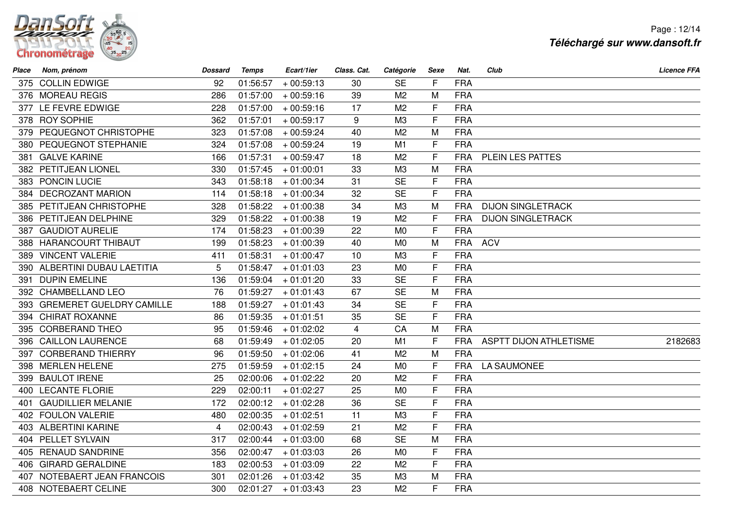

Page : 12/14**Téléchargé sur www.dansoft.fr**

| Place | Nom, prénom                  | <b>Dossard</b> | <b>Temps</b> | Ecart/1ier  | Class. Cat.             | Catégorie      | Sexe         | Nat.       | Club                          | <b>Licence FFA</b> |
|-------|------------------------------|----------------|--------------|-------------|-------------------------|----------------|--------------|------------|-------------------------------|--------------------|
|       | 375 COLLIN EDWIGE            | 92             | 01:56:57     | $+00:59:13$ | 30                      | <b>SE</b>      | F            | <b>FRA</b> |                               |                    |
|       | 376 MOREAU REGIS             | 286            | 01:57:00     | $+00:59:16$ | 39                      | M <sub>2</sub> | M            | <b>FRA</b> |                               |                    |
|       | 377 LE FEVRE EDWIGE          | 228            | 01:57:00     | $+00:59:16$ | 17                      | M <sub>2</sub> | F            | <b>FRA</b> |                               |                    |
|       | 378 ROY SOPHIE               | 362            | 01:57:01     | $+00:59:17$ | 9                       | M3             | $\mathsf{F}$ | <b>FRA</b> |                               |                    |
| 379   | PEQUEGNOT CHRISTOPHE         | 323            | 01:57:08     | $+00:59:24$ | 40                      | M <sub>2</sub> | M            | <b>FRA</b> |                               |                    |
| 380   | PEQUEGNOT STEPHANIE          | 324            | 01:57:08     | $+00:59:24$ | 19                      | M1             | $\mathsf{F}$ | <b>FRA</b> |                               |                    |
|       | 381 GALVE KARINE             | 166            | 01:57:31     | $+00:59:47$ | 18                      | M <sub>2</sub> | F            | <b>FRA</b> | PLEIN LES PATTES              |                    |
|       | 382 PETITJEAN LIONEL         | 330            | 01:57:45     | $+01:00:01$ | 33                      | M <sub>3</sub> | M            | <b>FRA</b> |                               |                    |
|       | 383 PONCIN LUCIE             | 343            | 01:58:18     | $+01:00:34$ | 31                      | <b>SE</b>      | F            | <b>FRA</b> |                               |                    |
|       | 384 DECROZANT MARION         | 114            | 01:58:18     | $+01:00:34$ | 32                      | <b>SE</b>      | $\mathsf{F}$ | <b>FRA</b> |                               |                    |
|       | 385 PETITJEAN CHRISTOPHE     | 328            | 01:58:22     | $+01:00:38$ | 34                      | M <sub>3</sub> | M            | <b>FRA</b> | <b>DIJON SINGLETRACK</b>      |                    |
| 386   | PETITJEAN DELPHINE           | 329            | 01:58:22     | $+01:00:38$ | 19                      | M <sub>2</sub> | $\mathsf{F}$ | <b>FRA</b> | <b>DIJON SINGLETRACK</b>      |                    |
|       | 387 GAUDIOT AURELIE          | 174            | 01:58:23     | $+01:00:39$ | 22                      | M <sub>0</sub> | F            | <b>FRA</b> |                               |                    |
|       | 388 HARANCOURT THIBAUT       | 199            | 01:58:23     | $+01:00:39$ | 40                      | M <sub>0</sub> | M            | <b>FRA</b> | <b>ACV</b>                    |                    |
|       | 389 VINCENT VALERIE          | 411            | 01:58:31     | $+01:00:47$ | 10                      | M <sub>3</sub> | $\mathsf{F}$ | <b>FRA</b> |                               |                    |
|       | 390 ALBERTINI DUBAU LAETITIA | 5              | 01:58:47     | $+01:01:03$ | 23                      | M <sub>0</sub> | F            | <b>FRA</b> |                               |                    |
| 391   | <b>DUPIN EMELINE</b>         | 136            | 01:59:04     | $+01:01:20$ | 33                      | <b>SE</b>      | $\mathsf{F}$ | <b>FRA</b> |                               |                    |
|       | 392 CHAMBELLAND LEO          | 76             | 01:59:27     | $+01:01:43$ | 67                      | <b>SE</b>      | M            | <b>FRA</b> |                               |                    |
|       | 393 GREMERET GUELDRY CAMILLE | 188            | 01:59:27     | $+01:01:43$ | 34                      | <b>SE</b>      | $\mathsf{F}$ | <b>FRA</b> |                               |                    |
|       | 394 CHIRAT ROXANNE           | 86             | 01:59:35     | $+01:01:51$ | 35                      | <b>SE</b>      | $\mathsf{F}$ | <b>FRA</b> |                               |                    |
|       | 395 CORBERAND THEO           | 95             | 01:59:46     | $+01:02:02$ | $\overline{\mathbf{4}}$ | CA             | M            | <b>FRA</b> |                               |                    |
|       | 396 CAILLON LAURENCE         | 68             | 01:59:49     | $+01:02:05$ | 20                      | M1             | $\mathsf{F}$ | <b>FRA</b> | <b>ASPTT DIJON ATHLETISME</b> | 2182683            |
|       | 397 CORBERAND THIERRY        | 96             | 01:59:50     | $+01:02:06$ | 41                      | M <sub>2</sub> | M            | <b>FRA</b> |                               |                    |
|       | 398 MERLEN HELENE            | 275            | 01:59:59     | $+01:02:15$ | 24                      | M <sub>0</sub> | F            | <b>FRA</b> | <b>LA SAUMONEE</b>            |                    |
|       | 399 BAULOT IRENE             | 25             | 02:00:06     | $+01:02:22$ | 20                      | M <sub>2</sub> | $\mathsf{F}$ | <b>FRA</b> |                               |                    |
|       | 400 LECANTE FLORIE           | 229            | 02:00:11     | $+01:02:27$ | 25                      | M <sub>0</sub> | F            | <b>FRA</b> |                               |                    |
| 401   | <b>GAUDILLIER MELANIE</b>    | 172            | 02:00:12     | $+01:02:28$ | 36                      | <b>SE</b>      | F            | <b>FRA</b> |                               |                    |
|       | 402 FOULON VALERIE           | 480            | 02:00:35     | $+01:02:51$ | 11                      | M3             | F            | <b>FRA</b> |                               |                    |
|       | 403 ALBERTINI KARINE         | $\overline{4}$ | 02:00:43     | $+01:02:59$ | 21                      | M <sub>2</sub> | F            | <b>FRA</b> |                               |                    |
|       | 404 PELLET SYLVAIN           | 317            | 02:00:44     | $+01:03:00$ | 68                      | <b>SE</b>      | M            | <b>FRA</b> |                               |                    |
|       | 405 RENAUD SANDRINE          | 356            | 02:00:47     | $+01:03:03$ | 26                      | M <sub>0</sub> | F            | <b>FRA</b> |                               |                    |
|       | 406 GIRARD GERALDINE         | 183            | 02:00:53     | $+01:03:09$ | 22                      | M <sub>2</sub> | F            | <b>FRA</b> |                               |                    |
| 407   | NOTEBAERT JEAN FRANCOIS      | 301            | 02:01:26     | $+01:03:42$ | 35                      | M3             | M            | <b>FRA</b> |                               |                    |
|       | 408 NOTEBAERT CELINE         | 300            | 02:01:27     | $+01:03:43$ | 23                      | M <sub>2</sub> | F            | <b>FRA</b> |                               |                    |
|       |                              |                |              |             |                         |                |              |            |                               |                    |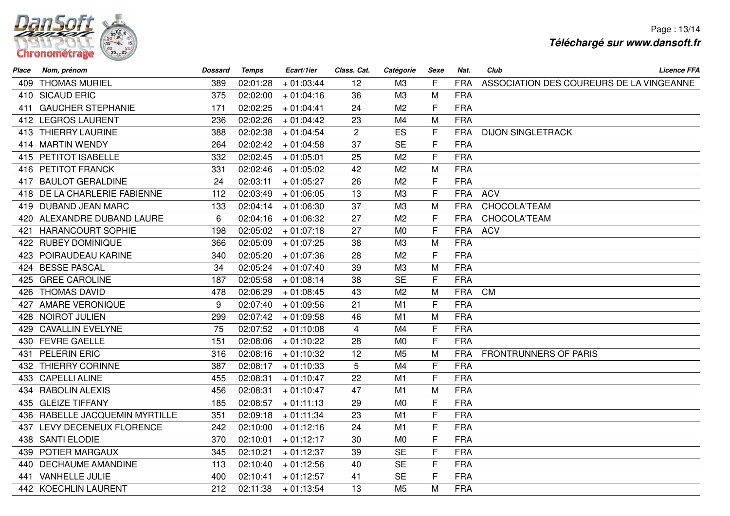

| Place | Nom, prénom                    | <b>Dossard</b> | <b>Temps</b> | Ecart/1ier  | Class. Cat.    | Catégorie      | Sexe         | Nat.       | Club<br><b>Licence FFA</b>               |
|-------|--------------------------------|----------------|--------------|-------------|----------------|----------------|--------------|------------|------------------------------------------|
| 409   | <b>THOMAS MURIEL</b>           | 389            | 02:01:28     | $+01:03:44$ | 12             | M3             | $\mathsf{F}$ | <b>FRA</b> | ASSOCIATION DES COUREURS DE LA VINGEANNE |
|       | 410 SICAUD ERIC                | 375            | 02:02:00     | $+01:04:16$ | 36             | M3             | M            | <b>FRA</b> |                                          |
| 411   | <b>GAUCHER STEPHANIE</b>       | 171            | 02:02:25     | $+01:04:41$ | 24             | M <sub>2</sub> | $\mathsf{F}$ | <b>FRA</b> |                                          |
| 412   | <b>LEGROS LAURENT</b>          | 236            | 02:02:26     | $+01:04:42$ | 23             | M <sub>4</sub> | M            | <b>FRA</b> |                                          |
|       | 413 THIERRY LAURINE            | 388            | 02:02:38     | $+01:04:54$ | $\overline{2}$ | <b>ES</b>      | $\mathsf{F}$ | <b>FRA</b> | <b>DIJON SINGLETRACK</b>                 |
| 414   | <b>MARTIN WENDY</b>            | 264            | 02:02:42     | $+01:04:58$ | 37             | <b>SE</b>      | $\mathsf{F}$ | <b>FRA</b> |                                          |
| 415   | PETITOT ISABELLE               | 332            | 02:02:45     | $+01:05:01$ | 25             | M <sub>2</sub> | $\mathsf{F}$ | <b>FRA</b> |                                          |
| 416   | PETITOT FRANCK                 | 331            | 02:02:46     | $+01:05:02$ | 42             | M <sub>2</sub> | M            | <b>FRA</b> |                                          |
| 417   | <b>BAULOT GERALDINE</b>        | 24             | 02:03:11     | $+01:05:27$ | 26             | M <sub>2</sub> | $\mathsf{F}$ | <b>FRA</b> |                                          |
|       | 418 DE LA CHARLERIE FABIENNE   | 112            | 02:03:49     | $+01:06:05$ | 13             | M3             | $\mathsf{F}$ | <b>FRA</b> | <b>ACV</b>                               |
| 419.  | <b>DUBAND JEAN MARC</b>        | 133            | 02:04:14     | $+01:06:30$ | 37             | M3             | M            | <b>FRA</b> | <b>CHOCOLA'TEAM</b>                      |
| 420   | ALEXANDRE DUBAND LAURE         | 6              | 02:04:16     | $+01:06:32$ | 27             | M <sub>2</sub> | $\mathsf{F}$ | <b>FRA</b> | CHOCOLA'TEAM                             |
| 421   | <b>HARANCOURT SOPHIE</b>       | 198            | 02:05:02     | $+01:07:18$ | 27             | M <sub>0</sub> | $\mathsf{F}$ | <b>FRA</b> | <b>ACV</b>                               |
|       | 422 RUBEY DOMINIQUE            | 366            | 02:05:09     | $+01:07:25$ | 38             | M3             | M            | <b>FRA</b> |                                          |
| 423   | POIRAUDEAU KARINE              | 340            | 02:05:20     | $+01:07:36$ | 28             | M <sub>2</sub> | $\mathsf F$  | <b>FRA</b> |                                          |
| 424   | <b>BESSE PASCAL</b>            | 34             | 02:05:24     | $+01:07:40$ | 39             | M3             | M            | <b>FRA</b> |                                          |
|       | 425 GREE CAROLINE              | 187            | 02:05:58     | $+01:08:14$ | 38             | <b>SE</b>      | $\mathsf{F}$ | <b>FRA</b> |                                          |
| 426.  | <b>THOMAS DAVID</b>            | 478            | 02:06:29     | $+01:08:45$ | 43             | M <sub>2</sub> | M            | <b>FRA</b> | <b>CM</b>                                |
| 427   | <b>AMARE VERONIQUE</b>         | 9              | 02:07:40     | $+01:09:56$ | 21             | M1             | $\mathsf{F}$ | <b>FRA</b> |                                          |
| 428.  | <b>NOIROT JULIEN</b>           | 299            | 02:07:42     | $+01:09:58$ | 46             | M1             | M            | <b>FRA</b> |                                          |
| 429   | <b>CAVALLIN EVELYNE</b>        | 75             | 02:07:52     | $+01:10:08$ | $\overline{4}$ | M <sub>4</sub> | $\mathsf{F}$ | <b>FRA</b> |                                          |
| 430   | <b>FEVRE GAELLE</b>            | 151            | 02:08:06     | $+01:10:22$ | 28             | M <sub>0</sub> | $\mathsf{F}$ | <b>FRA</b> |                                          |
| 431   | <b>PELERIN ERIC</b>            | 316            | 02:08:16     | $+01:10:32$ | 12             | M <sub>5</sub> | M            | <b>FRA</b> | <b>FRONTRUNNERS OF PARIS</b>             |
|       | 432 THIERRY CORINNE            | 387            | 02:08:17     | $+01:10:33$ | 5              | M <sub>4</sub> | $\mathsf{F}$ | <b>FRA</b> |                                          |
|       | 433 CAPELLI ALINE              | 455            | 02:08:31     | $+01:10:47$ | 22             | M1             | $\mathsf{F}$ | <b>FRA</b> |                                          |
|       | 434 RABOLIN ALEXIS             | 456            | 02:08:31     | $+01:10:47$ | 47             | M1             | M            | <b>FRA</b> |                                          |
| 435   | <b>GLEIZE TIFFANY</b>          | 185            | 02:08:57     | $+01:11:13$ | 29             | M <sub>0</sub> | $\mathsf{F}$ | <b>FRA</b> |                                          |
|       | 436 RABELLE JACQUEMIN MYRTILLE | 351            | 02:09:18     | $+01:11:34$ | 23             | M1             | $\mathsf{F}$ | <b>FRA</b> |                                          |
|       | 437 LEVY DECENEUX FLORENCE     | 242            | 02:10:00     | $+01:12:16$ | 24             | M1             | $\mathsf{F}$ | <b>FRA</b> |                                          |
| 438   | <b>SANTI ELODIE</b>            | 370            | 02:10:01     | $+01:12:17$ | 30             | M <sub>0</sub> | $\mathsf{F}$ | <b>FRA</b> |                                          |
| 439   | POTIER MARGAUX                 | 345            | 02:10:21     | $+01:12:37$ | 39             | <b>SE</b>      | $\mathsf{F}$ | <b>FRA</b> |                                          |
| 440   | DECHAUME AMANDINE              | 113            | 02:10:40     | $+01:12:56$ | 40             | <b>SE</b>      | $\mathsf{F}$ | <b>FRA</b> |                                          |
| 441   | <b>VANHELLE JULIE</b>          | 400            | 02:10:41     | $+01:12:57$ | 41             | <b>SE</b>      | $\mathsf{F}$ | <b>FRA</b> |                                          |
|       | 442 KOECHLIN LAURENT           | 212            | 02:11:38     | $+01:13:54$ | 13             | M <sub>5</sub> | M            | <b>FRA</b> |                                          |
|       |                                |                |              |             |                |                |              |            |                                          |